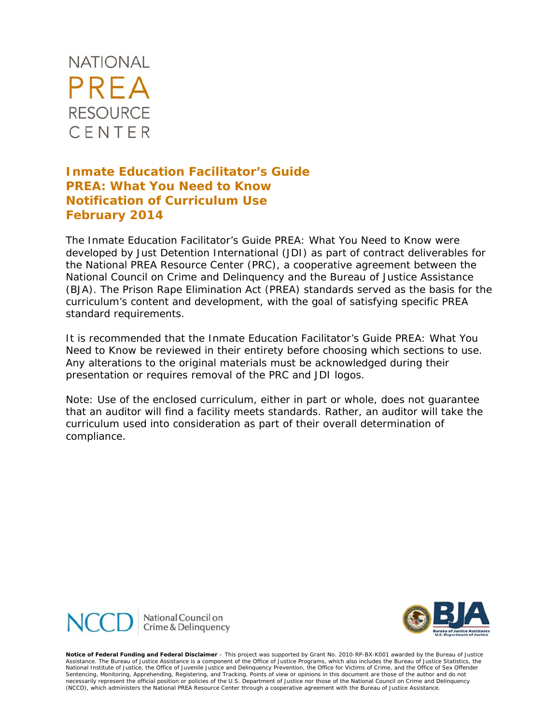

# **Inmate Education Facilitator's Guide**  *PREA: What You Need to Know*  **Notification of Curriculum Use February 2014**

The Inmate Education Facilitator's Guide PREA*: What You Need to Know* were developed by Just Detention International (JDI) as part of contract deliverables for the National PREA Resource Center (PRC), a cooperative agreement between the National Council on Crime and Delinquency and the Bureau of Justice Assistance (BJA). The Prison Rape Elimination Act (PREA) standards served as the basis for the curriculum's content and development, with the goal of satisfying specific PREA standard requirements.

It is recommended that the Inmate Education Facilitator's Guide *PREA: What You Need to Know* be reviewed in their entirety before choosing which sections to use. Any alterations to the original materials must be acknowledged during their presentation or requires removal of the PRC and JDI logos.

*Note: Use of the enclosed curriculum, either in part or whole, does not guarantee that an auditor will find a facility meets standards. Rather, an auditor will take the curriculum used into consideration as part of their overall determination of compliance.*





 *Notice of Federal Funding and Federal Disclaimer – This project was supported by Grant No. 2010-RP-BX-K001 awarded by the Bureau of Justice Assistance. The Bureau of Justice Assistance is a component of the Office of Justice Programs, which also includes the Bureau of Justice Statistics, the National Institute of Justice, the Office of Juvenile Justice and Delinquency Prevention, the Office for Victims of Crime, and the Office of Sex Offender Sentencing, Monitoring, Apprehending, Registering, and Tracking. Points of view or opinions in this document are those of the author and do not*  necessarily represent the official position or policies of the U.S. Department of Justice nor those of the National Council on Crime and Delinquency<br>(NCCD), which administers the National PREA Resource Center through a coo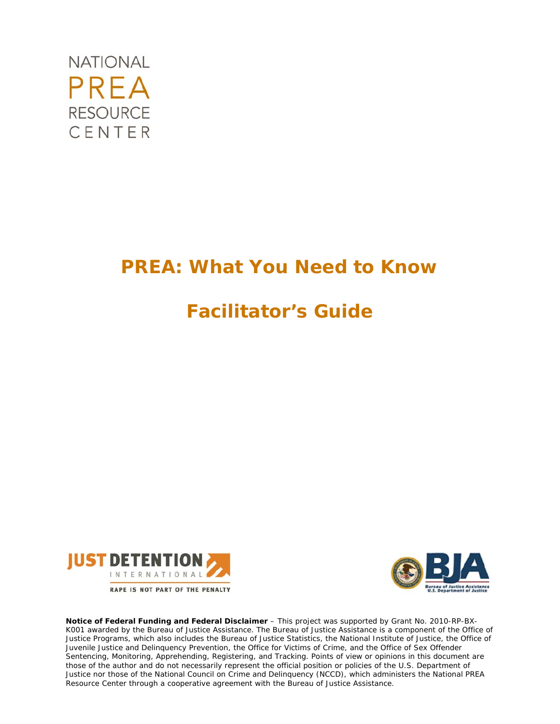

# *PREA: What You Need to Know*

# **Facilitator's Guide**





Notice of Federal Funding and Federal Disclaimer - This project was supported by Grant No. 2010-RP-BX-*K001 awarded by the Bureau of Justice Assistance. The Bureau of Justice Assistance is a component of the Office of*  Justice Programs, which also includes the Bureau of Justice Statistics, the National Institute of Justice, the Office of *Juvenile Justice and Delinquency Prevention, the Office for Victims of Crime, and the Office of Sex Offender Sentencing, Monitoring, Apprehending, Registering, and Tracking. Points of view or opinions in this document are those of the author and do not necessarily represent the official position or policies of the U.S. Department of Justice nor those of the National Council on Crime and Delinquency (NCCD), which administers the National PREA Resource Center through a cooperative agreement with the Bureau of Justice Assistance.*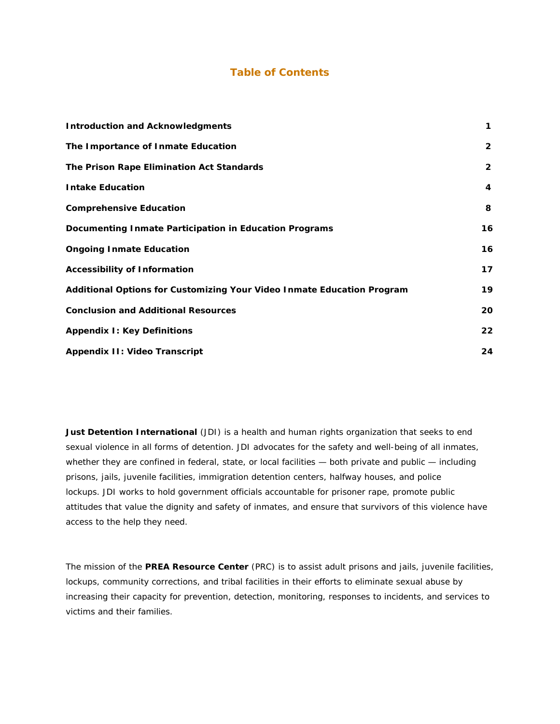#### **Table of Contents**

| <b>Introduction and Acknowledgments</b>                                | 1              |
|------------------------------------------------------------------------|----------------|
| The Importance of Inmate Education                                     | $\overline{2}$ |
| The Prison Rape Elimination Act Standards                              | $\overline{2}$ |
| <b>Intake Education</b>                                                | 4              |
| <b>Comprehensive Education</b>                                         | 8              |
| Documenting Inmate Participation in Education Programs                 | 16             |
| <b>Ongoing Inmate Education</b>                                        | 16             |
| <b>Accessibility of Information</b>                                    | 17             |
| Additional Options for Customizing Your Video Inmate Education Program | 19             |
| <b>Conclusion and Additional Resources</b>                             | 20             |
| <b>Appendix I: Key Definitions</b>                                     | 22             |
| <b>Appendix II: Video Transcript</b>                                   | 24             |

**Just Detention International** (JDI) is a health and human rights organization that seeks to end sexual violence in all forms of detention. JDI advocates for the safety and well-being of all inmates, whether they are confined in federal, state, or local facilities - both private and public - including prisons, jails, juvenile facilities, immigration detention centers, halfway houses, and police lockups. JDI works to hold government officials accountable for prisoner rape, promote public attitudes that value the dignity and safety of inmates, and ensure that survivors of this violence have access to the help they need.

The mission of the **PREA Resource Center** (PRC) is to assist adult prisons and jails, juvenile facilities, lockups, community corrections, and tribal facilities in their efforts to eliminate sexual abuse by increasing their capacity for prevention, detection, monitoring, responses to incidents, and services to victims and their families.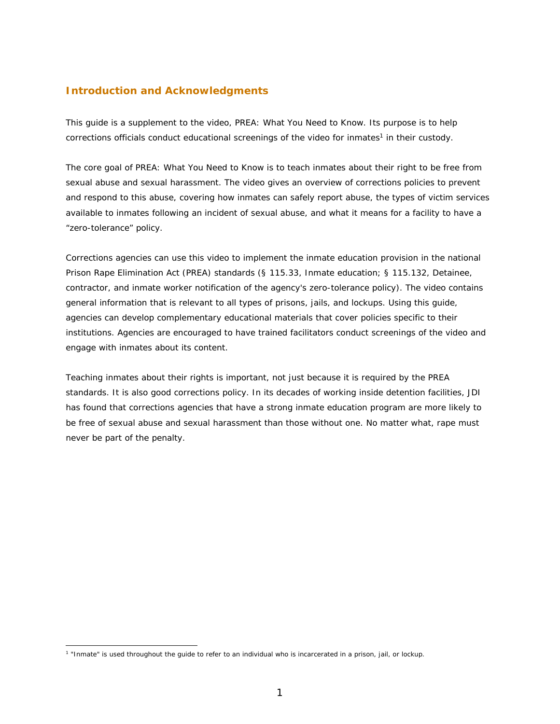#### **Introduction and Acknowledgments**

This guide is a supplement to the video, *PREA: What You Need to Know*. Its purpose is to help corrections officials conduct educational screenings of the video for inmates<sup>1</sup> in their custody.

The core goal of *PREA: What You Need to Know* is to teach inmates about their right to be free from sexual abuse and sexual harassment. The video gives an overview of corrections policies to prevent and respond to this abuse, covering how inmates can safely report abuse, the types of victim services available to inmates following an incident of sexual abuse, and what it means for a facility to have a "zero-tolerance" policy.

Corrections agencies can use this video to implement the inmate education provision in the national Prison Rape Elimination Act (PREA) standards (§ 115.33, Inmate education; § 115.132, Detainee, contractor, and inmate worker notification of the agency's zero-tolerance policy). The video contains general information that is relevant to all types of prisons, jails, and lockups. Using this guide, agencies can develop complementary educational materials that cover policies specific to their institutions. Agencies are encouraged to have trained facilitators conduct screenings of the video and engage with inmates about its content.

Teaching inmates about their rights is important, not just because it is required by the PREA standards. It is also good corrections policy. In its decades of working inside detention facilities, JDI has found that corrections agencies that have a strong inmate education program are more likely to be free of sexual abuse and sexual harassment than those without one. No matter what, rape must never be part of the penalty.

<sup>1 &</sup>quot;Inmate" is used throughout the guide to refer to an individual who is incarcerated in a prison, jail, or lockup.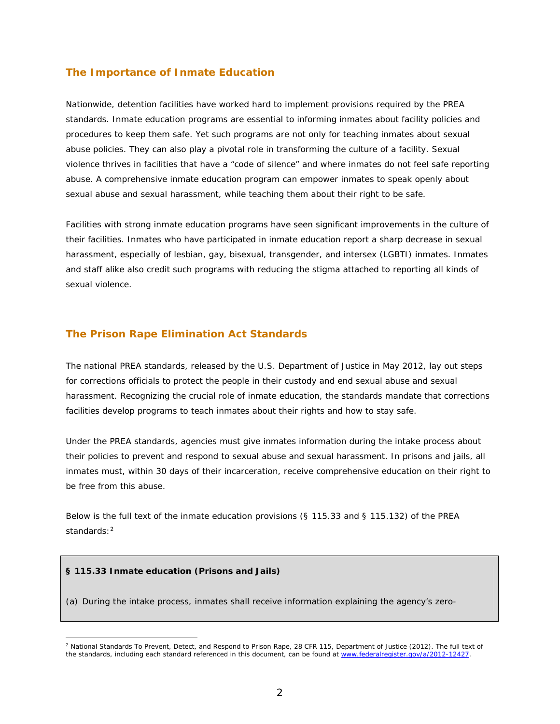#### **The Importance of Inmate Education**

Nationwide, detention facilities have worked hard to implement provisions required by the PREA standards. Inmate education programs are essential to informing inmates about facility policies and procedures to keep them safe. Yet such programs are not only for teaching inmates about sexual abuse policies. They can also play a pivotal role in transforming the culture of a facility. Sexual violence thrives in facilities that have a "code of silence" and where inmates do not feel safe reporting abuse. A comprehensive inmate education program can empower inmates to speak openly about sexual abuse and sexual harassment, while teaching them about their right to be safe.

Facilities with strong inmate education programs have seen significant improvements in the culture of their facilities. Inmates who have participated in inmate education report a sharp decrease in sexual harassment, especially of lesbian, gay, bisexual, transgender, and intersex (LGBTI) inmates. Inmates and staff alike also credit such programs with reducing the stigma attached to reporting all kinds of sexual violence.

#### **The Prison Rape Elimination Act Standards**

The national PREA standards, released by the U.S. Department of Justice in May 2012, lay out steps for corrections officials to protect the people in their custody and end sexual abuse and sexual harassment. Recognizing the crucial role of inmate education, the standards mandate that corrections facilities develop programs to teach inmates about their rights and how to stay safe.

Under the PREA standards, agencies must give inmates information during the intake process about their policies to prevent and respond to sexual abuse and sexual harassment. In prisons and jails, all inmates must, within 30 days of their incarceration, receive comprehensive education on their right to be free from this abuse.

Below is the full text of the inmate education provisions (§ 115.33 and § 115.132) of the PREA standards:2

#### **§ 115.33 Inmate education (Prisons and Jails)**

(a) During the intake process, inmates shall receive information explaining the agency's zero-

<sup>2</sup> *National Standards To Prevent, Detect, and Respond to Prison Rape*, 28 CFR 115, Department of Justice (2012). The full text of the standards, including each standard referenced in this document, can be found at www.federalregister.gov/a/2012-12427.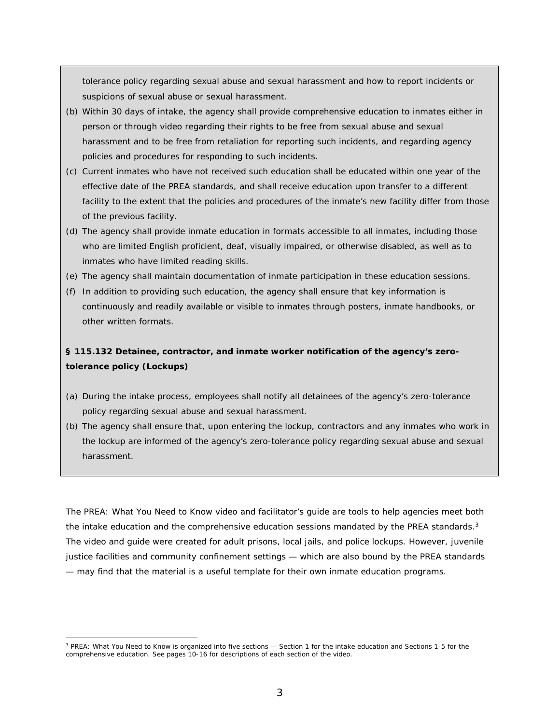tolerance policy regarding sexual abuse and sexual harassment and how to report incidents or suspicions of sexual abuse or sexual harassment.

- (b) Within 30 days of intake, the agency shall provide comprehensive education to inmates either in person or through video regarding their rights to be free from sexual abuse and sexual harassment and to be free from retaliation for reporting such incidents, and regarding agency policies and procedures for responding to such incidents.
- (c) Current inmates who have not received such education shall be educated within one year of the effective date of the PREA standards, and shall receive education upon transfer to a different facility to the extent that the policies and procedures of the inmate's new facility differ from those of the previous facility.
- (d) The agency shall provide inmate education in formats accessible to all inmates, including those who are limited English proficient, deaf, visually impaired, or otherwise disabled, as well as to inmates who have limited reading skills.
- (e) The agency shall maintain documentation of inmate participation in these education sessions.
- (f) In addition to providing such education, the agency shall ensure that key information is continuously and readily available or visible to inmates through posters, inmate handbooks, or other written formats.

# **§ 115.132 Detainee, contractor, and inmate worker notification of the agency's zerotolerance policy (Lockups)**

- (a) During the intake process, employees shall notify all detainees of the agency's zero-tolerance policy regarding sexual abuse and sexual harassment.
- (b) The agency shall ensure that, upon entering the lockup, contractors and any inmates who work in the lockup are informed of the agency's zero-tolerance policy regarding sexual abuse and sexual harassment.

The *PREA: What You Need to Know* video and facilitator's guide are tools to help agencies meet both the intake education and the comprehensive education sessions mandated by the PREA standards.<sup>3</sup> The video and guide were created for adult prisons, local jails, and police lockups. However, juvenile justice facilities and community confinement settings — which are also bound by the PREA standards — may find that the material is a useful template for their own inmate education programs.

<sup>3</sup> *PREA: What You Need to Know* is organized into five sections — Section 1 for the intake education and Sections 1-5 for the comprehensive education. See pages 10-16 for descriptions of each section of the video.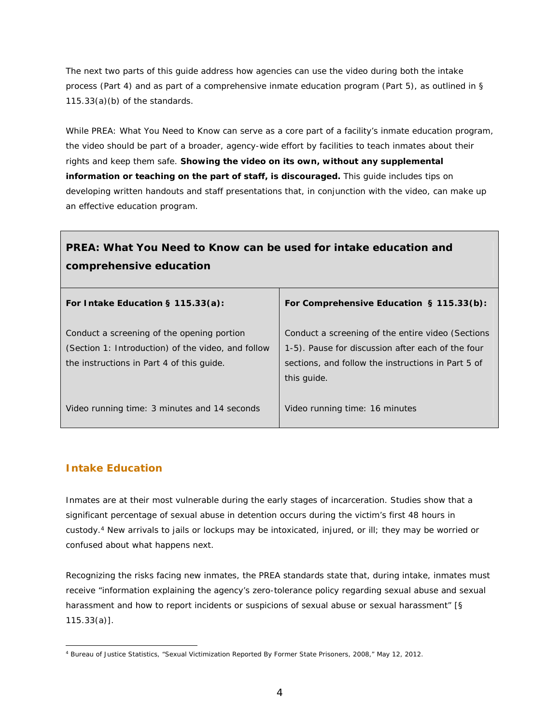The next two parts of this guide address how agencies can use the video during both the intake process (Part 4) and as part of a comprehensive inmate education program (Part 5), as outlined in § 115.33(a)(b) of the standards.

While *PREA: What You Need to Know* can serve as a core part of a facility's inmate education program, the video should be part of a broader, agency-wide effort by facilities to teach inmates about their rights and keep them safe. **Showing the video on its own, without any supplemental information or teaching on the part of staff, is discouraged.** This guide includes tips on developing written handouts and staff presentations that, in conjunction with the video, can make up an effective education program.

# *PREA: What You Need to Know* **can be used for intake education and comprehensive education**

| For Intake Education $\S$ 115.33(a):                       | For Comprehensive Education § 115.33(b):           |
|------------------------------------------------------------|----------------------------------------------------|
| Conduct a screening of the opening portion                 | Conduct a screening of the entire video (Sections  |
| (Section 1: <i>Introduction</i> ) of the video, and follow | 1-5). Pause for discussion after each of the four  |
| the instructions in Part 4 of this guide.                  | sections, and follow the instructions in Part 5 of |
|                                                            | this guide.                                        |
| Video running time: 3 minutes and 14 seconds               | Video running time: 16 minutes                     |

# **Intake Education**

Inmates are at their most vulnerable during the early stages of incarceration. Studies show that a significant percentage of sexual abuse in detention occurs during the victim's first 48 hours in custody.4 New arrivals to jails or lockups may be intoxicated, injured, or ill; they may be worried or confused about what happens next.

Recognizing the risks facing new inmates, the PREA standards state that, during intake, inmates must receive "information explaining the agency's zero-tolerance policy regarding sexual abuse and sexual harassment and how to report incidents or suspicions of sexual abuse or sexual harassment" [§ 115.33(a)].

 4 Bureau of Justice Statistics, "Sexual Victimization Reported By Former State Prisoners, 2008," May 12, 2012.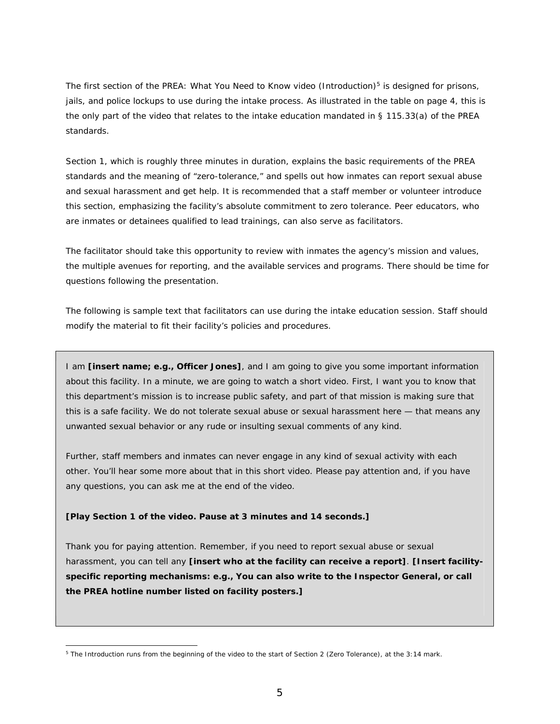The first section of the *PREA: What You Need to Know* video (*Introduction*)5 is designed for prisons, jails, and police lockups to use during the intake process. As illustrated in the table on page 4, this is the only part of the video that relates to the intake education mandated in § 115.33(a) of the PREA standards.

Section 1, which is roughly three minutes in duration, explains the basic requirements of the PREA standards and the meaning of "zero-tolerance," and spells out how inmates can report sexual abuse and sexual harassment and get help. It is recommended that a staff member or volunteer introduce this section, emphasizing the facility's absolute commitment to zero tolerance. Peer educators, who are inmates or detainees qualified to lead trainings, can also serve as facilitators.

The facilitator should take this opportunity to review with inmates the agency's mission and values, the multiple avenues for reporting, and the available services and programs. There should be time for questions following the presentation.

The following is sample text that facilitators can use during the intake education session. Staff should modify the material to fit their facility's policies and procedures.

I am **[insert name; e.g., Officer Jones]**, and I am going to give you some important information about this facility. In a minute, we are going to watch a short video. First, I want you to know that this department's mission is to increase public safety, and part of that mission is making sure that this is a safe facility. We do not tolerate sexual abuse or sexual harassment here — that means any unwanted sexual behavior or any rude or insulting sexual comments of any kind.

Further, staff members and inmates can never engage in any kind of sexual activity with each other. You'll hear some more about that in this short video. Please pay attention and, if you have any questions, you can ask me at the end of the video.

#### **[Play Section 1 of the video. Pause at 3 minutes and 14 seconds.]**

Thank you for paying attention. Remember, if you need to report sexual abuse or sexual harassment, you can tell any **[insert who at the facility can receive a report]**. **[Insert facilityspecific reporting mechanisms: e.g., You can also write to the Inspector General, or call the PREA hotline number listed on facility posters.]** 

<sup>5</sup> The *Introduction* runs from the beginning of the video to the start of Section 2 (*Zero Tolerance*), at the 3:14 mark.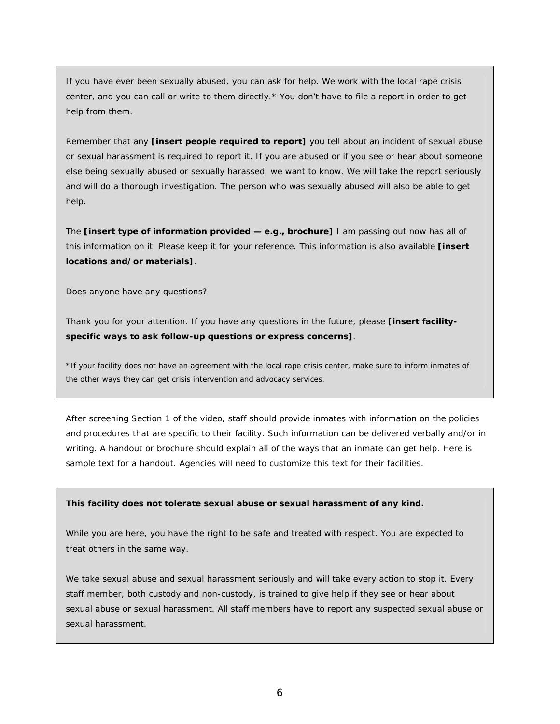If you have ever been sexually abused, you can ask for help. We work with the local rape crisis center, and you can call or write to them directly.\* You don't have to file a report in order to get help from them.

Remember that any **[insert people required to report]** you tell about an incident of sexual abuse or sexual harassment is required to report it. If you are abused or if you see or hear about someone else being sexually abused or sexually harassed, we want to know. We will take the report seriously and will do a thorough investigation. The person who was sexually abused will also be able to get help.

The **[insert type of information provided — e.g., brochure]** I am passing out now has all of this information on it. Please keep it for your reference. This information is also available **[insert locations and/or materials]**.

Does anyone have any questions?

Thank you for your attention. If you have any questions in the future, please **[insert facilityspecific ways to ask follow-up questions or express concerns]**.

*\*If your facility does not have an agreement with the local rape crisis center, make sure to inform inmates of the other ways they can get crisis intervention and advocacy services.* 

After screening Section 1 of the video, staff should provide inmates with information on the policies and procedures that are specific to their facility. Such information can be delivered verbally and/or in writing. A handout or brochure should explain all of the ways that an inmate can get help. Here is sample text for a handout. Agencies will need to customize this text for their facilities.

#### **This facility does not tolerate sexual abuse or sexual harassment of any kind.**

While you are here, you have the right to be safe and treated with respect. You are expected to treat others in the same way.

We take sexual abuse and sexual harassment seriously and will take every action to stop it. Every staff member, both custody and non-custody, is trained to give help if they see or hear about sexual abuse or sexual harassment. All staff members have to report any suspected sexual abuse or sexual harassment.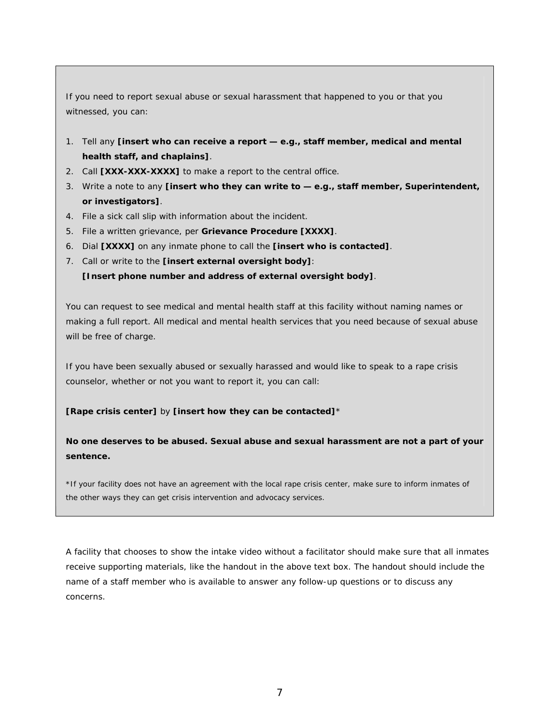If you need to report sexual abuse or sexual harassment that happened to you or that you witnessed, you can:

- 1. Tell any **[insert who can receive a report e.g., staff member, medical and mental health staff, and chaplains]**.
- 2. Call **[XXX-XXX-XXXX]** to make a report to the central office.
- 3. Write a note to any **[insert who they can write to e.g., staff member, Superintendent, or investigators]**.
- 4. File a sick call slip with information about the incident.
- 5. File a written grievance, per **Grievance Procedure [XXXX]**.
- 6. Dial **[XXXX]** on any inmate phone to call the **[insert who is contacted]**.
- 7. Call or write to the **[insert external oversight body]**:

**[Insert phone number and address of external oversight body]**.

You can request to see medical and mental health staff at this facility without naming names or making a full report. All medical and mental health services that you need because of sexual abuse will be free of charge.

If you have been sexually abused or sexually harassed and would like to speak to a rape crisis counselor, whether or not you want to report it, you can call:

#### **[Rape crisis center]** by **[insert how they can be contacted]**\*

**No one deserves to be abused. Sexual abuse and sexual harassment are not a part of your sentence.** 

*\*If your facility does not have an agreement with the local rape crisis center, make sure to inform inmates of the other ways they can get crisis intervention and advocacy services.* 

A facility that chooses to show the intake video without a facilitator should make sure that all inmates receive supporting materials, like the handout in the above text box. The handout should include the name of a staff member who is available to answer any follow-up questions or to discuss any concerns.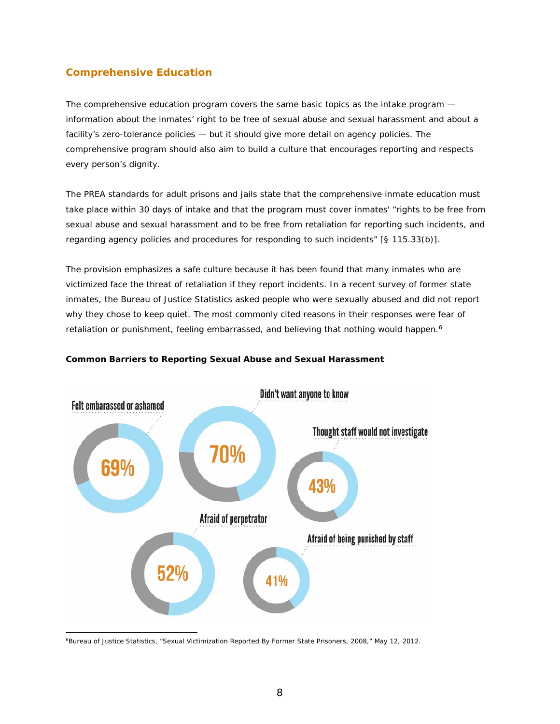# **Comprehensive Education**

The comprehensive education program covers the same basic topics as the intake program information about the inmates' right to be free of sexual abuse and sexual harassment and about a facility's zero-tolerance policies — but it should give more detail on agency policies. The comprehensive program should also aim to build a culture that encourages reporting and respects every person's dignity.

The PREA standards for adult prisons and jails state that the comprehensive inmate education must take place within 30 days of intake and that the program must cover inmates' *"*rights to be free from sexual abuse and sexual harassment and to be free from retaliation for reporting such incidents, and regarding agency policies and procedures for responding to such incidents*"* [§ 115.33(b)].

The provision emphasizes a safe culture because it has been found that many inmates who are victimized face the threat of retaliation if they report incidents. In a recent survey of former state inmates, the Bureau of Justice Statistics asked people who were sexually abused and did not report why they chose to keep quiet. The most commonly cited reasons in their responses were fear of retaliation or punishment, feeling embarrassed, and believing that nothing would happen.<sup>6</sup>



#### **Common Barriers to Reporting Sexual Abuse and Sexual Harassment**

<sup>6</sup>Bureau of Justice Statistics, "Sexual Victimization Reported By Former State Prisoners, 2008," May 12, 2012.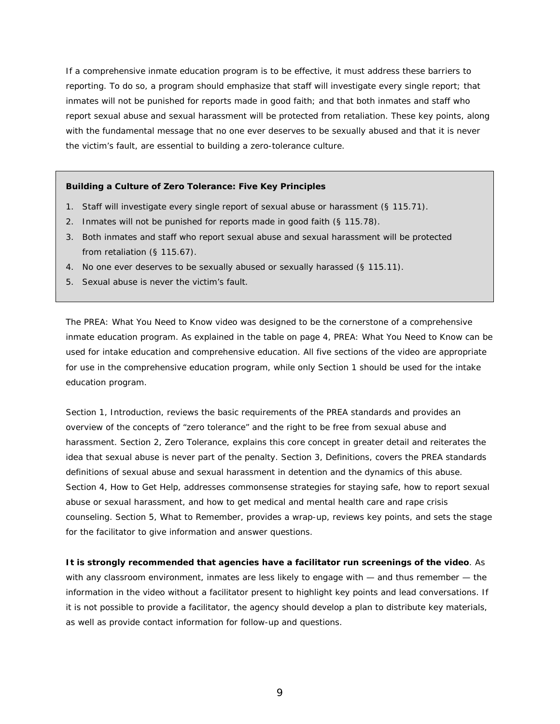If a comprehensive inmate education program is to be effective, it must address these barriers to reporting. To do so, a program should emphasize that staff will investigate every single report; that inmates will not be punished for reports made in good faith; and that both inmates and staff who report sexual abuse and sexual harassment will be protected from retaliation. These key points, along with the fundamental message that no one ever deserves to be sexually abused and that it is never the victim's fault, are essential to building a zero-tolerance culture.

#### **Building a Culture of Zero Tolerance: Five Key Principles**

- 1. Staff will investigate every single report of sexual abuse or harassment (§ 115.71).
- 2. Inmates will not be punished for reports made in good faith (§ 115.78).
- 3. Both inmates and staff who report sexual abuse and sexual harassment will be protected from retaliation (§ 115.67).
- 4. No one ever deserves to be sexually abused or sexually harassed (§ 115.11).
- 5. Sexual abuse is never the victim's fault.

The *PREA: What You Need to Know* video was designed to be the cornerstone of a comprehensive inmate education program. As explained in the table on page 4, *PREA: What You Need to Know* can be used for intake education and comprehensive education. All five sections of the video are appropriate for use in the comprehensive education program, while only Section 1 should be used for the intake education program.

Section 1, *Introduction,* reviews the basic requirements of the PREA standards and provides an overview of the concepts of "zero tolerance" and the right to be free from sexual abuse and harassment. Section 2, *Zero Tolerance*, explains this core concept in greater detail and reiterates the idea that sexual abuse is never part of the penalty. Section 3, *Definitions,* covers the PREA standards definitions of sexual abuse and sexual harassment in detention and the dynamics of this abuse. Section 4, *How to Get Help*, addresses commonsense strategies for staying safe, how to report sexual abuse or sexual harassment, and how to get medical and mental health care and rape crisis counseling. Section 5, *What to Remember,* provides a wrap-up, reviews key points, and sets the stage for the facilitator to give information and answer questions.

**It is strongly recommended that agencies have a facilitator run screenings of the video**. As with any classroom environment, inmates are less likely to engage with — and thus remember — the information in the video without a facilitator present to highlight key points and lead conversations. If it is not possible to provide a facilitator, the agency should develop a plan to distribute key materials, as well as provide contact information for follow-up and questions.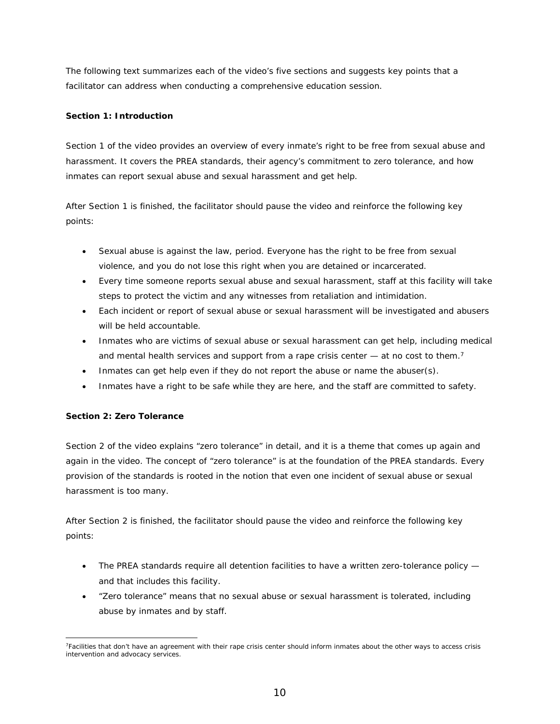The following text summarizes each of the video's five sections and suggests key points that a facilitator can address when conducting a comprehensive education session.

#### **Section 1:** *Introduction*

Section 1 of the video provides an overview of every inmate's right to be free from sexual abuse and harassment. It covers the PREA standards, their agency's commitment to zero tolerance, and how inmates can report sexual abuse and sexual harassment and get help.

After Section 1 is finished, the facilitator should pause the video and reinforce the following key points:

- Sexual abuse is against the law, period. Everyone has the right to be free from sexual violence, and you do not lose this right when you are detained or incarcerated.
- Every time someone reports sexual abuse and sexual harassment, staff at this facility will take steps to protect the victim and any witnesses from retaliation and intimidation.
- Each incident or report of sexual abuse or sexual harassment will be investigated and abusers will be held accountable.
- Inmates who are victims of sexual abuse or sexual harassment can get help, including medical and mental health services and support from a rape crisis center  $-$  at no cost to them.<sup>7</sup>
- Inmates can get help even if they do not report the abuse or name the abuser(s).
- Inmates have a right to be safe while they are here, and the staff are committed to safety.

#### **Section 2:** *Zero Tolerance*

Section 2 of the video explains "zero tolerance" in detail, and it is a theme that comes up again and again in the video. The concept of "zero tolerance" is at the foundation of the PREA standards. Every provision of the standards is rooted in the notion that even one incident of sexual abuse or sexual harassment is too many.

After Section 2 is finished, the facilitator should pause the video and reinforce the following key points:

- The PREA standards require all detention facilities to have a written zero-tolerance policy and that includes this facility.
- "Zero tolerance" means that no sexual abuse or sexual harassment is tolerated, including abuse by inmates and by staff.

 7Facilities that don't have an agreement with their rape crisis center should inform inmates about the other ways to access crisis intervention and advocacy services.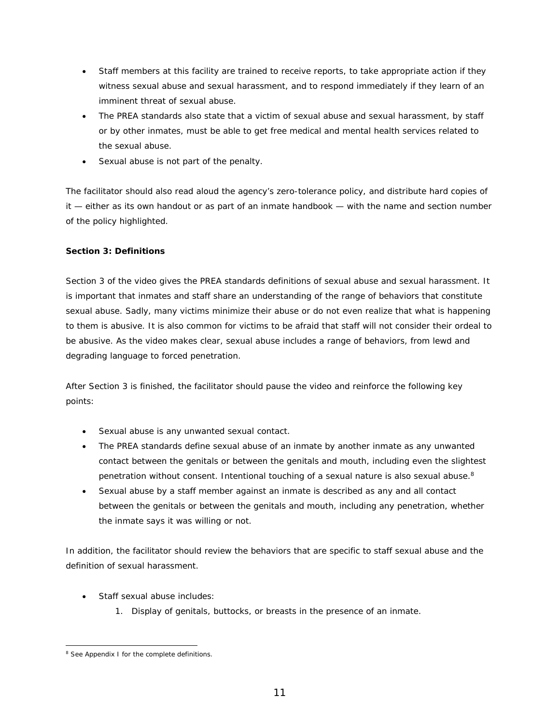- Staff members at this facility are trained to receive reports, to take appropriate action if they witness sexual abuse and sexual harassment, and to respond immediately if they learn of an imminent threat of sexual abuse.
- The PREA standards also state that a victim of sexual abuse and sexual harassment, by staff or by other inmates, must be able to get free medical and mental health services related to the sexual abuse.
- Sexual abuse is not part of the penalty.

The facilitator should also read aloud the agency's zero-tolerance policy, and distribute hard copies of it — either as its own handout or as part of an inmate handbook — with the name and section number of the policy highlighted.

#### **Section 3:** *Definitions*

Section 3 of the video gives the PREA standards definitions of sexual abuse and sexual harassment. It is important that inmates and staff share an understanding of the range of behaviors that constitute sexual abuse. Sadly, many victims minimize their abuse or do not even realize that what is happening to them is abusive. It is also common for victims to be afraid that staff will not consider their ordeal to be abusive. As the video makes clear, sexual abuse includes a range of behaviors, from lewd and degrading language to forced penetration.

After Section 3 is finished, the facilitator should pause the video and reinforce the following key points:

- Sexual abuse is any unwanted sexual contact.
- The PREA standards define sexual abuse of an inmate by another inmate as any unwanted contact between the genitals or between the genitals and mouth, including even the slightest penetration without consent. Intentional touching of a sexual nature is also sexual abuse.<sup>8</sup>
- Sexual abuse by a staff member against an inmate is described as any and all contact between the genitals or between the genitals and mouth, including any penetration, whether the inmate says it was willing or not.

In addition, the facilitator should review the behaviors that are specific to staff sexual abuse and the definition of sexual harassment.

- Staff sexual abuse includes:
	- 1. Display of genitals, buttocks, or breasts in the presence of an inmate.

 <sup>8</sup> See Appendix I for the complete definitions.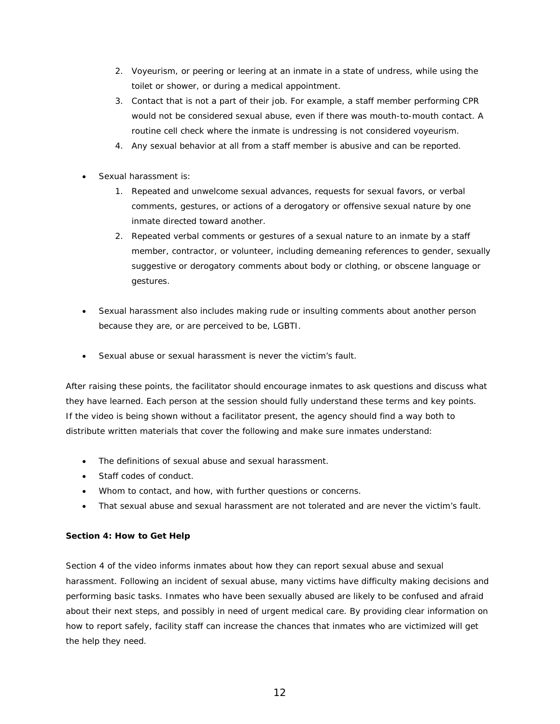- 2. Voyeurism, or peering or leering at an inmate in a state of undress, while using the toilet or shower, or during a medical appointment.
- 3. Contact that is not a part of their job. For example, a staff member performing CPR would not be considered sexual abuse, even if there was mouth-to-mouth contact. A routine cell check where the inmate is undressing is not considered voyeurism.
- 4. Any sexual behavior at all from a staff member is abusive and can be reported.
- Sexual harassment is:
	- 1. Repeated and unwelcome sexual advances, requests for sexual favors, or verbal comments, gestures, or actions of a derogatory or offensive sexual nature by one inmate directed toward another.
	- 2. Repeated verbal comments or gestures of a sexual nature to an inmate by a staff member, contractor, or volunteer, including demeaning references to gender, sexually suggestive or derogatory comments about body or clothing, or obscene language or gestures.
- Sexual harassment also includes making rude or insulting comments about another person because they are, or are perceived to be, LGBTI.
- Sexual abuse or sexual harassment is never the victim's fault.

After raising these points, the facilitator should encourage inmates to ask questions and discuss what they have learned. Each person at the session should fully understand these terms and key points. If the video is being shown without a facilitator present, the agency should find a way both to distribute written materials that cover the following and make sure inmates understand:

- The definitions of sexual abuse and sexual harassment.
- Staff codes of conduct.
- Whom to contact, and how, with further questions or concerns.
- That sexual abuse and sexual harassment are not tolerated and are never the victim's fault.

#### **Section 4***: How to Get Help*

Section 4 of the video informs inmates about how they can report sexual abuse and sexual harassment. Following an incident of sexual abuse, many victims have difficulty making decisions and performing basic tasks. Inmates who have been sexually abused are likely to be confused and afraid about their next steps, and possibly in need of urgent medical care. By providing clear information on how to report safely, facility staff can increase the chances that inmates who are victimized will get the help they need.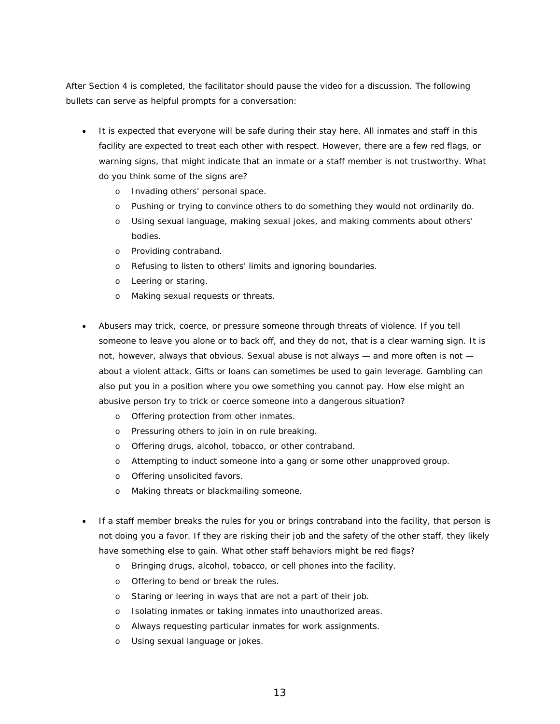After Section 4 is completed, the facilitator should pause the video for a discussion. The following bullets can serve as helpful prompts for a conversation:

- It is expected that everyone will be safe during their stay here. All inmates and staff in this facility are expected to treat each other with respect. However, there are a few red flags, or warning signs, that might indicate that an inmate or a staff member is not trustworthy. What do you think some of the signs are?
	- o Invading others' personal space.
	- o Pushing or trying to convince others to do something they would not ordinarily do.
	- o Using sexual language, making sexual jokes, and making comments about others' bodies.
	- o Providing contraband.
	- o Refusing to listen to others' limits and ignoring boundaries.
	- o Leering or staring.
	- o Making sexual requests or threats.
- Abusers may trick, coerce, or pressure someone through threats of violence. If you tell someone to leave you alone or to back off, and they do not, that is a clear warning sign. It is not, however, always that obvious. Sexual abuse is not always — and more often is not about a violent attack. Gifts or loans can sometimes be used to gain leverage. Gambling can also put you in a position where you owe something you cannot pay. How else might an abusive person try to trick or coerce someone into a dangerous situation?
	- o Offering protection from other inmates.
	- o Pressuring others to join in on rule breaking.
	- o Offering drugs, alcohol, tobacco, or other contraband.
	- o Attempting to induct someone into a gang or some other unapproved group.
	- o Offering unsolicited favors.
	- o Making threats or blackmailing someone.
- If a staff member breaks the rules for you or brings contraband into the facility, that person is not doing you a favor. If they are risking their job and the safety of the other staff, they likely have something else to gain. What other staff behaviors might be red flags?
	- o Bringing drugs, alcohol, tobacco, or cell phones into the facility.
	- o Offering to bend or break the rules.
	- o Staring or leering in ways that are not a part of their job.
	- o Isolating inmates or taking inmates into unauthorized areas.
	- o Always requesting particular inmates for work assignments.
	- o Using sexual language or jokes.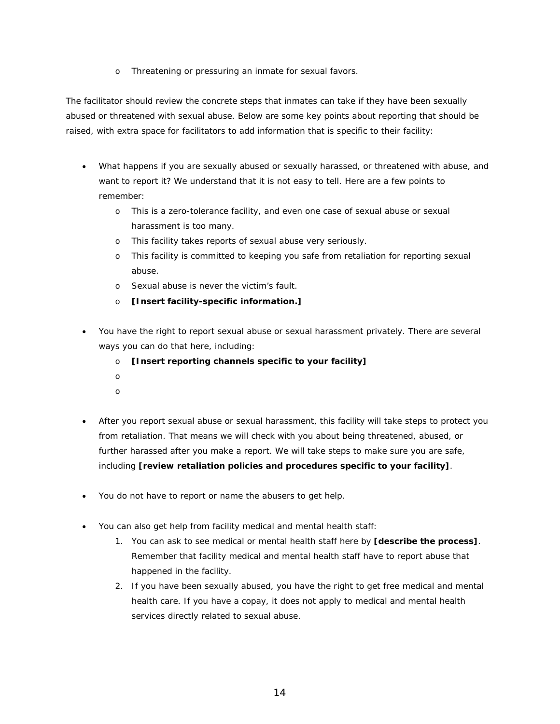o Threatening or pressuring an inmate for sexual favors.

The facilitator should review the concrete steps that inmates can take if they have been sexually abused or threatened with sexual abuse. Below are some key points about reporting that should be raised, with extra space for facilitators to add information that is specific to their facility:

- What happens if you are sexually abused or sexually harassed, or threatened with abuse, and want to report it? We understand that it is not easy to tell. Here are a few points to remember:
	- o This is a zero-tolerance facility, and even one case of sexual abuse or sexual harassment is too many.
	- o This facility takes reports of sexual abuse very seriously.
	- o This facility is committed to keeping you safe from retaliation for reporting sexual abuse.
	- o Sexual abuse is never the victim's fault.
	- o **[Insert facility-specific information.]**
- You have the right to report sexual abuse or sexual harassment privately. There are several ways you can do that here, including:
	- o **[Insert reporting channels specific to your facility]**
	- o
	- o
- After you report sexual abuse or sexual harassment, this facility will take steps to protect you from retaliation. That means we will check with you about being threatened, abused, or further harassed after you make a report. We will take steps to make sure you are safe, including **[review retaliation policies and procedures specific to your facility]**.
- You do not have to report or name the abusers to get help.
- You can also get help from facility medical and mental health staff:
	- 1. You can ask to see medical or mental health staff here by **[describe the process]**. Remember that facility medical and mental health staff have to report abuse that happened in the facility.
	- 2. If you have been sexually abused, you have the right to get free medical and mental health care. If you have a copay, it does not apply to medical and mental health services directly related to sexual abuse.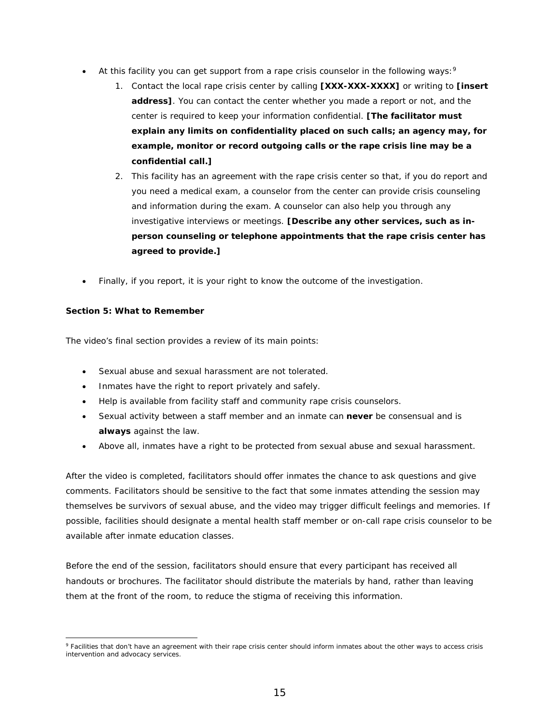- $\bullet$  At this facility you can get support from a rape crisis counselor in the following ways: 9
	- 1. Contact the local rape crisis center by calling **[XXX-XXX-XXXX]** or writing to **[insert address]**. You can contact the center whether you made a report or not, and the center is required to keep your information confidential. **[The facilitator must explain any limits on confidentiality placed on such calls; an agency may, for example, monitor or record outgoing calls or the rape crisis line may be a confidential call.]**
	- 2. This facility has an agreement with the rape crisis center so that, if you do report and you need a medical exam, a counselor from the center can provide crisis counseling and information during the exam. A counselor can also help you through any investigative interviews or meetings. **[Describe any other services, such as inperson counseling or telephone appointments that the rape crisis center has agreed to provide.]**
- Finally, if you report, it is your right to know the outcome of the investigation.

#### **Section 5:** *What to Remember*

The video's final section provides a review of its main points:

- Sexual abuse and sexual harassment are not tolerated.
- Inmates have the right to report privately and safely.
- Help is available from facility staff and community rape crisis counselors.
- Sexual activity between a staff member and an inmate can **never** be consensual and is **always** against the law.
- Above all, inmates have a right to be protected from sexual abuse and sexual harassment.

After the video is completed, facilitators should offer inmates the chance to ask questions and give comments. Facilitators should be sensitive to the fact that some inmates attending the session may themselves be survivors of sexual abuse, and the video may trigger difficult feelings and memories. If possible, facilities should designate a mental health staff member or on-call rape crisis counselor to be available after inmate education classes.

Before the end of the session, facilitators should ensure that every participant has received all handouts or brochures. The facilitator should distribute the materials by hand, rather than leaving them at the front of the room, to reduce the stigma of receiving this information.

 9 Facilities that don't have an agreement with their rape crisis center should inform inmates about the other ways to access crisis intervention and advocacy services.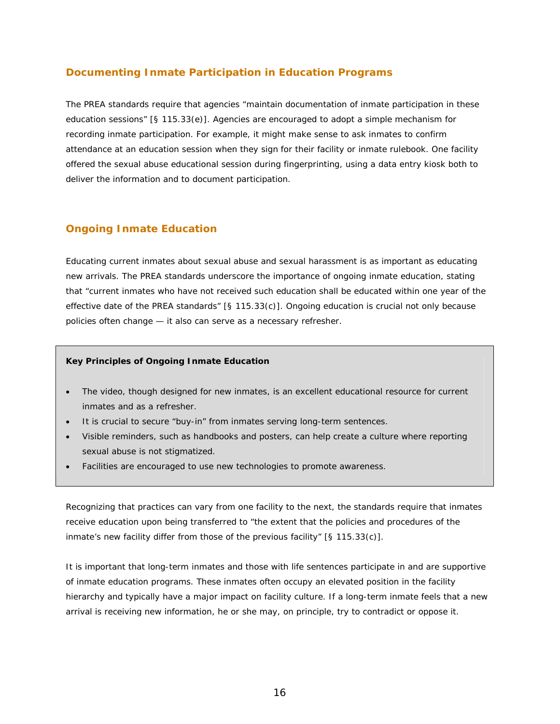### **Documenting Inmate Participation in Education Programs**

The PREA standards require that agencies "maintain documentation of inmate participation in these education sessions" [§ 115.33(e)]. Agencies are encouraged to adopt a simple mechanism for recording inmate participation. For example, it might make sense to ask inmates to confirm attendance at an education session when they sign for their facility or inmate rulebook. One facility offered the sexual abuse educational session during fingerprinting, using a data entry kiosk both to deliver the information and to document participation.

# **Ongoing Inmate Education**

Educating current inmates about sexual abuse and sexual harassment is as important as educating new arrivals. The PREA standards underscore the importance of ongoing inmate education, stating that "current inmates who have not received such education shall be educated within one year of the effective date of the PREA standards" [§ 115.33(c)]*.* Ongoing education is crucial not only because policies often change — it also can serve as a necessary refresher.

#### **Key Principles of Ongoing Inmate Education**

- The video, though designed for new inmates, is an excellent educational resource for current inmates and as a refresher.
- It is crucial to secure "buy-in" from inmates serving long-term sentences.
- Visible reminders, such as handbooks and posters, can help create a culture where reporting sexual abuse is not stigmatized.
- Facilities are encouraged to use new technologies to promote awareness.

Recognizing that practices can vary from one facility to the next, the standards require that inmates receive education upon being transferred to "the extent that the policies and procedures of the inmate's new facility differ from those of the previous facility" [§ 115.33(c)]*.* 

It is important that long-term inmates and those with life sentences participate in and are supportive of inmate education programs. These inmates often occupy an elevated position in the facility hierarchy and typically have a major impact on facility culture. If a long-term inmate feels that a new arrival is receiving new information, he or she may, on principle, try to contradict or oppose it.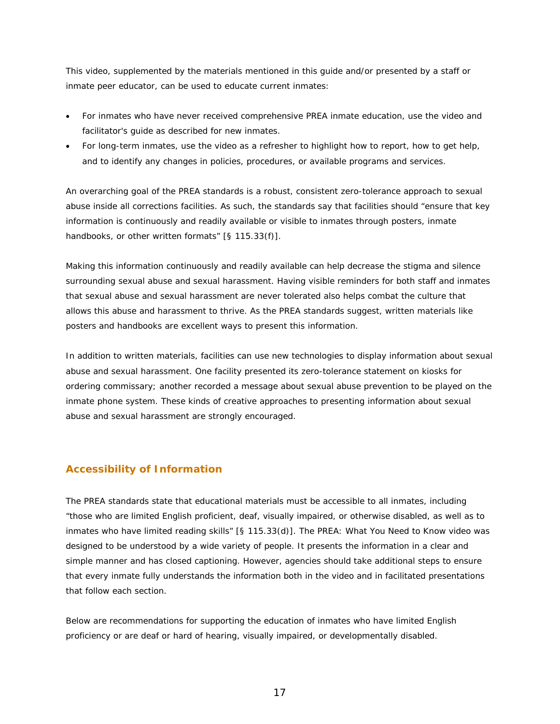This video, supplemented by the materials mentioned in this guide and/or presented by a staff or inmate peer educator, can be used to educate current inmates:

- For inmates who have never received comprehensive PREA inmate education, use the video and facilitator's guide as described for new inmates.
- For long-term inmates, use the video as a refresher to highlight how to report, how to get help, and to identify any changes in policies, procedures, or available programs and services.

An overarching goal of the PREA standards is a robust, consistent zero-tolerance approach to sexual abuse inside all corrections facilities. As such, the standards say that facilities should "ensure that key information is continuously and readily available or visible to inmates through posters, inmate handbooks, or other written formats" [§ 115.33(f)].

Making this information continuously and readily available can help decrease the stigma and silence surrounding sexual abuse and sexual harassment. Having visible reminders for both staff and inmates that sexual abuse and sexual harassment are never tolerated also helps combat the culture that allows this abuse and harassment to thrive. As the PREA standards suggest, written materials like posters and handbooks are excellent ways to present this information.

In addition to written materials, facilities can use new technologies to display information about sexual abuse and sexual harassment. One facility presented its zero-tolerance statement on kiosks for ordering commissary; another recorded a message about sexual abuse prevention to be played on the inmate phone system. These kinds of creative approaches to presenting information about sexual abuse and sexual harassment are strongly encouraged.

# **Accessibility of Information**

The PREA standards state that educational materials must be accessible to all inmates, including "those who are limited English proficient, deaf, visually impaired, or otherwise disabled, as well as to inmates who have limited reading skills" [§ 115.33(d)]*.* The *PREA: What You Need to Know* video was designed to be understood by a wide variety of people. It presents the information in a clear and simple manner and has closed captioning. However, agencies should take additional steps to ensure that every inmate fully understands the information both in the video and in facilitated presentations that follow each section.

Below are recommendations for supporting the education of inmates who have limited English proficiency or are deaf or hard of hearing, visually impaired, or developmentally disabled.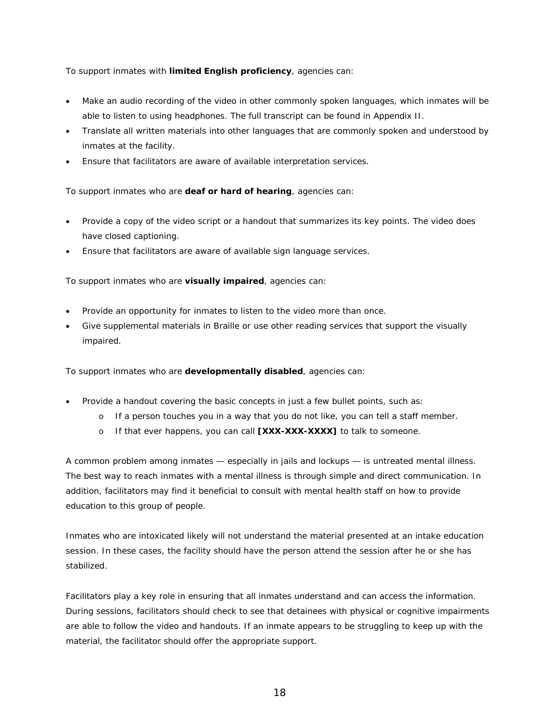To support inmates with **limited English proficiency**, agencies can:

- Make an audio recording of the video in other commonly spoken languages, which inmates will be able to listen to using headphones. The full transcript can be found in Appendix II.
- Translate all written materials into other languages that are commonly spoken and understood by inmates at the facility.
- Ensure that facilitators are aware of available interpretation services.

To support inmates who are **deaf or hard of hearing**, agencies can:

- Provide a copy of the video script or a handout that summarizes its key points. The video does have closed captioning.
- Ensure that facilitators are aware of available sign language services.

To support inmates who are **visually impaired**, agencies can:

- Provide an opportunity for inmates to listen to the video more than once.
- Give supplemental materials in Braille or use other reading services that support the visually impaired.

To support inmates who are **developmentally disabled**, agencies can:

- Provide a handout covering the basic concepts in just a few bullet points, such as:
	- o If a person touches you in a way that you do not like, you can tell a staff member.
	- o If that ever happens, you can call **[XXX-XXX-XXXX]** to talk to someone.

A common problem among inmates — especially in jails and lockups — is untreated mental illness. The best way to reach inmates with a mental illness is through simple and direct communication. In addition, facilitators may find it beneficial to consult with mental health staff on how to provide education to this group of people.

Inmates who are intoxicated likely will not understand the material presented at an intake education session. In these cases, the facility should have the person attend the session after he or she has stabilized.

Facilitators play a key role in ensuring that all inmates understand and can access the information. During sessions, facilitators should check to see that detainees with physical or cognitive impairments are able to follow the video and handouts. If an inmate appears to be struggling to keep up with the material, the facilitator should offer the appropriate support.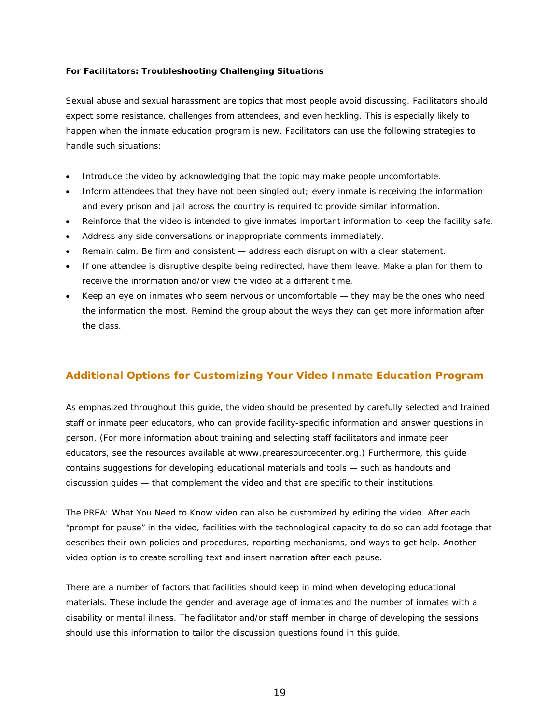#### **For Facilitators: Troubleshooting Challenging Situations**

Sexual abuse and sexual harassment are topics that most people avoid discussing. Facilitators should expect some resistance, challenges from attendees, and even heckling. This is especially likely to happen when the inmate education program is new. Facilitators can use the following strategies to handle such situations:

- Introduce the video by acknowledging that the topic may make people uncomfortable.
- Inform attendees that they have not been singled out; every inmate is receiving the information and every prison and jail across the country is required to provide similar information.
- Reinforce that the video is intended to give inmates important information to keep the facility safe.
- Address any side conversations or inappropriate comments immediately.
- Remain calm. Be firm and consistent address each disruption with a clear statement.
- If one attendee is disruptive despite being redirected, have them leave. Make a plan for them to receive the information and/or view the video at a different time.
- Keep an eye on inmates who seem nervous or uncomfortable they may be the ones who need the information the most. Remind the group about the ways they can get more information after the class.

# **Additional Options for Customizing Your Video Inmate Education Program**

As emphasized throughout this guide, the video should be presented by carefully selected and trained staff or inmate peer educators, who can provide facility-specific information and answer questions in person. (For more information about training and selecting staff facilitators and inmate peer educators, see the resources available at www.prearesourcecenter.org.) Furthermore, this guide contains suggestions for developing educational materials and tools — such as handouts and discussion guides — that complement the video and that are specific to their institutions.

The *PREA: What You Need to Know* video can also be customized by editing the video. After each "prompt for pause" in the video, facilities with the technological capacity to do so can add footage that describes their own policies and procedures, reporting mechanisms, and ways to get help. Another video option is to create scrolling text and insert narration after each pause.

There are a number of factors that facilities should keep in mind when developing educational materials. These include the gender and average age of inmates and the number of inmates with a disability or mental illness. The facilitator and/or staff member in charge of developing the sessions should use this information to tailor the discussion questions found in this guide.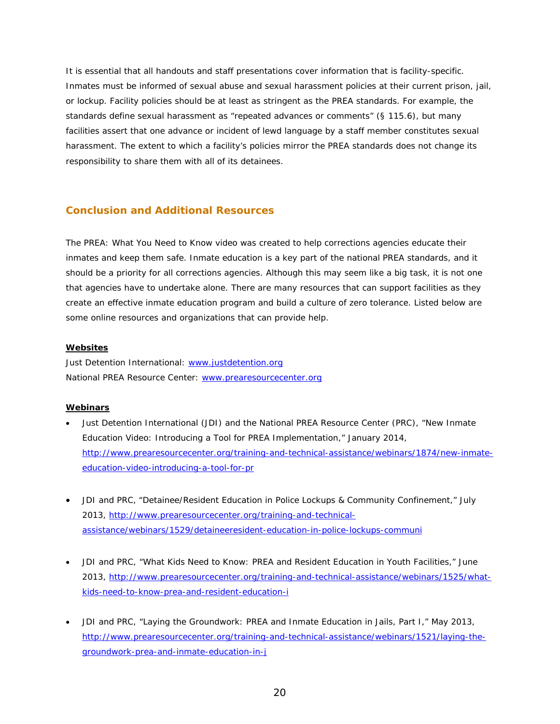It is essential that all handouts and staff presentations cover information that is facility-specific. Inmates must be informed of sexual abuse and sexual harassment policies at their current prison, jail, or lockup. Facility policies should be at least as stringent as the PREA standards. For example, the standards define sexual harassment as "repeated advances or comments" (§ 115.6), but many facilities assert that one advance or incident of lewd language by a staff member constitutes sexual harassment. The extent to which a facility's policies mirror the PREA standards does not change its responsibility to share them with all of its detainees.

### **Conclusion and Additional Resources**

The *PREA: What You Need to Know* video was created to help corrections agencies educate their inmates and keep them safe. Inmate education is a key part of the national PREA standards, and it should be a priority for all corrections agencies. Although this may seem like a big task, it is not one that agencies have to undertake alone. There are many resources that can support facilities as they create an effective inmate education program and build a culture of zero tolerance. Listed below are some online resources and organizations that can provide help.

#### **Websites**

Just Detention International: www.justdetention.org National PREA Resource Center: www.prearesourcecenter.org

#### **Webinars**

- Just Detention International (JDI) and the National PREA Resource Center (PRC), "New Inmate Education Video: Introducing a Tool for PREA Implementation," January 2014, http://www.prearesourcecenter.org/training-and-technical-assistance/webinars/1874/new-inmateeducation-video-introducing-a-tool-for-pr
- JDI and PRC, "Detainee/Resident Education in Police Lockups & Community Confinement," July 2013, http://www.prearesourcecenter.org/training-and-technicalassistance/webinars/1529/detaineeresident-education-in-police-lockups-communi
- JDI and PRC, "What Kids Need to Know: PREA and Resident Education in Youth Facilities," June 2013, http://www.prearesourcecenter.org/training-and-technical-assistance/webinars/1525/whatkids-need-to-know-prea-and-resident-education-i
- JDI and PRC, "Laying the Groundwork: PREA and Inmate Education in Jails, Part I," May 2013, http://www.prearesourcecenter.org/training-and-technical-assistance/webinars/1521/laying-thegroundwork-prea-and-inmate-education-in-j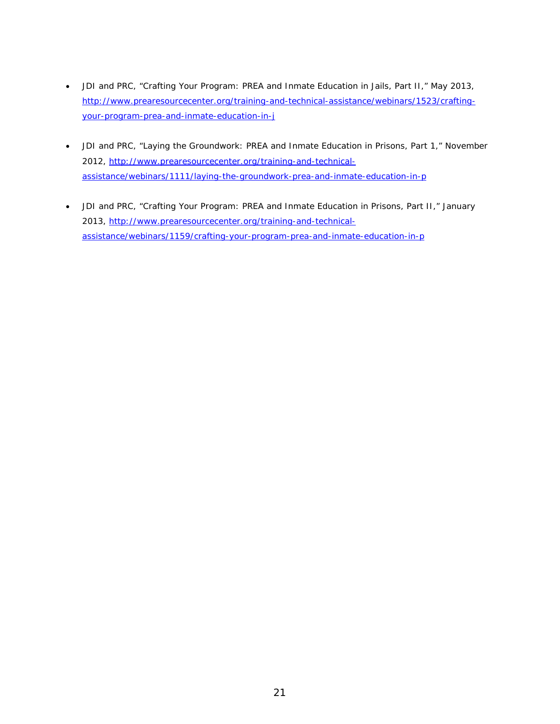- JDI and PRC, "Crafting Your Program: PREA and Inmate Education in Jails, Part II," May 2013, http://www.prearesourcecenter.org/training-and-technical-assistance/webinars/1523/craftingyour-program-prea-and-inmate-education-in-j
- JDI and PRC, "Laying the Groundwork: PREA and Inmate Education in Prisons, Part 1," November 2012, http://www.prearesourcecenter.org/training-and-technicalassistance/webinars/1111/laying-the-groundwork-prea-and-inmate-education-in-p
- JDI and PRC, "Crafting Your Program: PREA and Inmate Education in Prisons, Part II," January 2013, http://www.prearesourcecenter.org/training-and-technicalassistance/webinars/1159/crafting-your-program-prea-and-inmate-education-in-p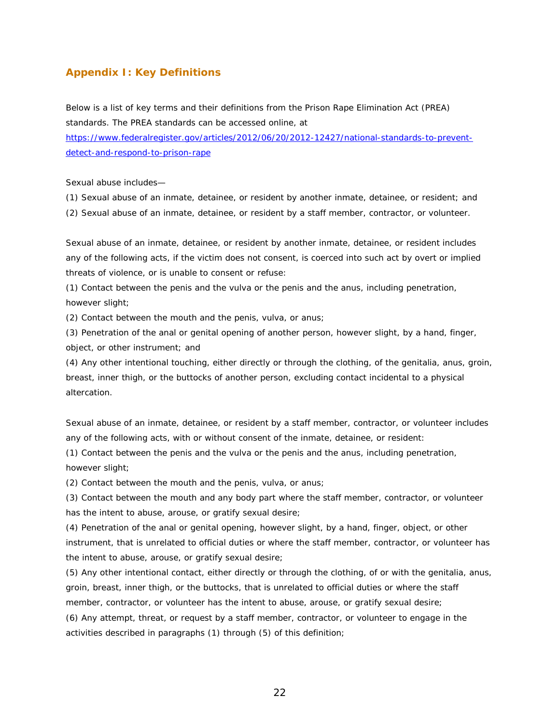#### **Appendix I: Key Definitions**

Below is a list of key terms and their definitions from the Prison Rape Elimination Act (PREA) standards. The PREA standards can be accessed online, at https://www.federalregister.gov/articles/2012/06/20/2012-12427/national-standards-to-preventdetect-and-respond-to-prison-rape

*Sexual abuse* includes—

(1) Sexual abuse of an inmate, detainee, or resident by another inmate, detainee, or resident; and (2) Sexual abuse of an inmate, detainee, or resident by a staff member, contractor, or volunteer.

Sexual abuse of an inmate, detainee, or resident by another inmate, detainee, or resident includes any of the following acts, if the victim does not consent, is coerced into such act by overt or implied threats of violence, or is unable to consent or refuse:

(1) Contact between the penis and the vulva or the penis and the anus, including penetration, however slight;

(2) Contact between the mouth and the penis, vulva, or anus;

(3) Penetration of the anal or genital opening of another person, however slight, by a hand, finger, object, or other instrument; and

(4) Any other intentional touching, either directly or through the clothing, of the genitalia, anus, groin, breast, inner thigh, or the buttocks of another person, excluding contact incidental to a physical altercation.

*Sexual abuse of an inmate, detainee, or resident by a staff member, contractor, or volunteer i*ncludes any of the following acts, with or without consent of the inmate, detainee, or resident:

(1) Contact between the penis and the vulva or the penis and the anus, including penetration, however slight;

(2) Contact between the mouth and the penis, vulva, or anus;

(3) Contact between the mouth and any body part where the staff member, contractor, or volunteer has the intent to abuse, arouse, or gratify sexual desire;

(4) Penetration of the anal or genital opening, however slight, by a hand, finger, object, or other instrument, that is unrelated to official duties or where the staff member, contractor, or volunteer has the intent to abuse, arouse, or gratify sexual desire;

(5) Any other intentional contact, either directly or through the clothing, of or with the genitalia, anus, groin, breast, inner thigh, or the buttocks, that is unrelated to official duties or where the staff member, contractor, or volunteer has the intent to abuse, arouse, or gratify sexual desire;

(6) Any attempt, threat, or request by a staff member, contractor, or volunteer to engage in the activities described in paragraphs (1) through (5) of this definition;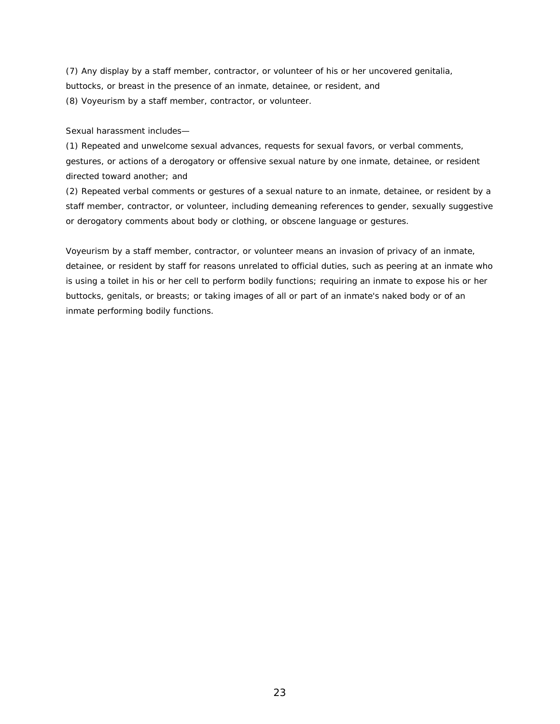(7) Any display by a staff member, contractor, or volunteer of his or her uncovered genitalia, buttocks, or breast in the presence of an inmate, detainee, or resident, and (8) Voyeurism by a staff member, contractor, or volunteer.

#### *Sexual harassment* includes—

(1) Repeated and unwelcome sexual advances, requests for sexual favors, or verbal comments, gestures, or actions of a derogatory or offensive sexual nature by one inmate, detainee, or resident directed toward another; and

(2) Repeated verbal comments or gestures of a sexual nature to an inmate, detainee, or resident by a staff member, contractor, or volunteer, including demeaning references to gender, sexually suggestive or derogatory comments about body or clothing, or obscene language or gestures.

*Voyeurism by a staff member, contractor, or volunteer* means an invasion of privacy of an inmate, detainee, or resident by staff for reasons unrelated to official duties, such as peering at an inmate who is using a toilet in his or her cell to perform bodily functions; requiring an inmate to expose his or her buttocks, genitals, or breasts; or taking images of all or part of an inmate's naked body or of an inmate performing bodily functions.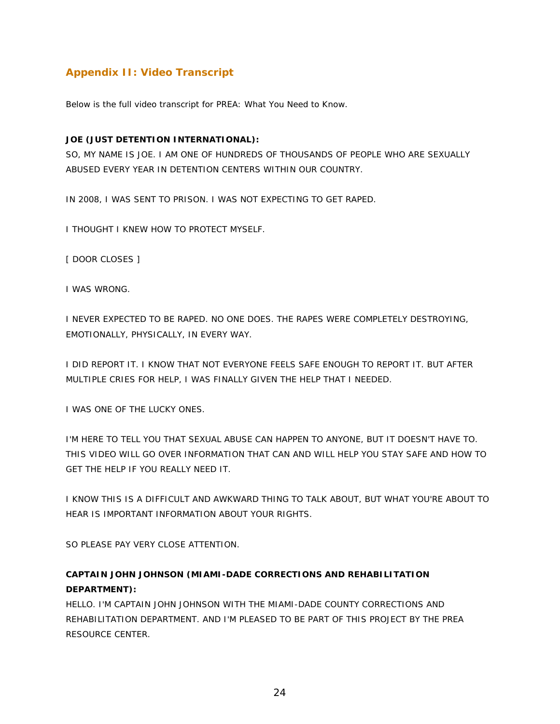# **Appendix II: Video Transcript**

Below is the full video transcript for *PREA: What You Need to Know*.

#### **JOE (JUST DETENTION INTERNATIONAL):**

SO, MY NAME IS JOE. I AM ONE OF HUNDREDS OF THOUSANDS OF PEOPLE WHO ARE SEXUALLY ABUSED EVERY YEAR IN DETENTION CENTERS WITHIN OUR COUNTRY.

IN 2008, I WAS SENT TO PRISON. I WAS NOT EXPECTING TO GET RAPED.

I THOUGHT I KNEW HOW TO PROTECT MYSELF.

[ DOOR CLOSES ]

I WAS WRONG.

I NEVER EXPECTED TO BE RAPED. NO ONE DOES. THE RAPES WERE COMPLETELY DESTROYING, EMOTIONALLY, PHYSICALLY, IN EVERY WAY.

I DID REPORT IT. I KNOW THAT NOT EVERYONE FEELS SAFE ENOUGH TO REPORT IT. BUT AFTER MULTIPLE CRIES FOR HELP, I WAS FINALLY GIVEN THE HELP THAT I NEEDED.

I WAS ONE OF THE LUCKY ONES.

I'M HERE TO TELL YOU THAT SEXUAL ABUSE CAN HAPPEN TO ANYONE, BUT IT DOESN'T HAVE TO. THIS VIDEO WILL GO OVER INFORMATION THAT CAN AND WILL HELP YOU STAY SAFE AND HOW TO GET THE HELP IF YOU REALLY NEED IT.

I KNOW THIS IS A DIFFICULT AND AWKWARD THING TO TALK ABOUT, BUT WHAT YOU'RE ABOUT TO HEAR IS IMPORTANT INFORMATION ABOUT YOUR RIGHTS.

SO PLEASE PAY VERY CLOSE ATTENTION.

# **CAPTAIN JOHN JOHNSON (MIAMI-DADE CORRECTIONS AND REHABILITATION DEPARTMENT):**

HELLO. I'M CAPTAIN JOHN JOHNSON WITH THE MIAMI-DADE COUNTY CORRECTIONS AND REHABILITATION DEPARTMENT. AND I'M PLEASED TO BE PART OF THIS PROJECT BY THE PREA RESOURCE CENTER.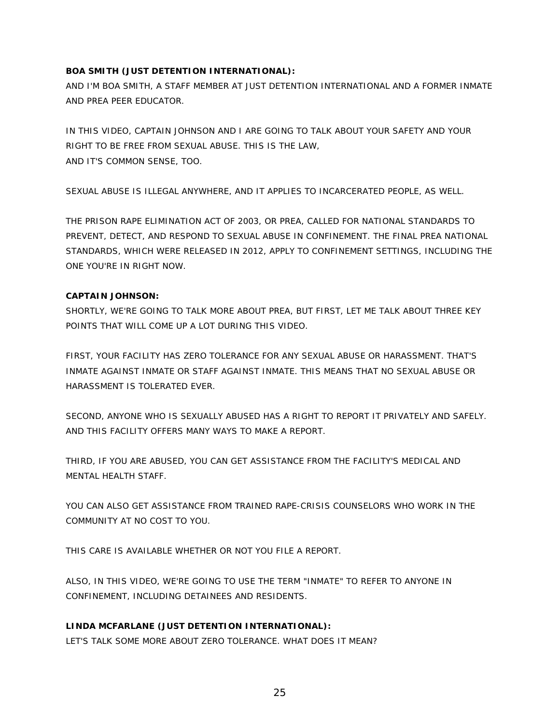#### **BOA SMITH (JUST DETENTION INTERNATIONAL):**

AND I'M BOA SMITH, A STAFF MEMBER AT JUST DETENTION INTERNATIONAL AND A FORMER INMATE AND PREA PEER EDUCATOR.

IN THIS VIDEO, CAPTAIN JOHNSON AND I ARE GOING TO TALK ABOUT YOUR SAFETY AND YOUR RIGHT TO BE FREE FROM SEXUAL ABUSE. THIS IS THE LAW, AND IT'S COMMON SENSE, TOO.

SEXUAL ABUSE IS ILLEGAL ANYWHERE, AND IT APPLIES TO INCARCERATED PEOPLE, AS WELL.

THE PRISON RAPE ELIMINATION ACT OF 2003, OR PREA, CALLED FOR NATIONAL STANDARDS TO PREVENT, DETECT, AND RESPOND TO SEXUAL ABUSE IN CONFINEMENT. THE FINAL PREA NATIONAL STANDARDS, WHICH WERE RELEASED IN 2012, APPLY TO CONFINEMENT SETTINGS, INCLUDING THE ONE YOU'RE IN RIGHT NOW.

#### **CAPTAIN JOHNSON:**

SHORTLY, WE'RE GOING TO TALK MORE ABOUT PREA, BUT FIRST, LET ME TALK ABOUT THREE KEY POINTS THAT WILL COME UP A LOT DURING THIS VIDEO.

FIRST, YOUR FACILITY HAS ZERO TOLERANCE FOR ANY SEXUAL ABUSE OR HARASSMENT. THAT'S INMATE AGAINST INMATE OR STAFF AGAINST INMATE. THIS MEANS THAT NO SEXUAL ABUSE OR HARASSMENT IS TOLERATED EVER.

SECOND, ANYONE WHO IS SEXUALLY ABUSED HAS A RIGHT TO REPORT IT PRIVATELY AND SAFELY. AND THIS FACILITY OFFERS MANY WAYS TO MAKE A REPORT.

THIRD, IF YOU ARE ABUSED, YOU CAN GET ASSISTANCE FROM THE FACILITY'S MEDICAL AND MENTAL HEALTH STAFF.

YOU CAN ALSO GET ASSISTANCE FROM TRAINED RAPE-CRISIS COUNSELORS WHO WORK IN THE COMMUNITY AT NO COST TO YOU.

THIS CARE IS AVAILABLE WHETHER OR NOT YOU FILE A REPORT.

ALSO, IN THIS VIDEO, WE'RE GOING TO USE THE TERM "INMATE" TO REFER TO ANYONE IN CONFINEMENT, INCLUDING DETAINEES AND RESIDENTS.

#### **LINDA MCFARLANE (JUST DETENTION INTERNATIONAL):**

LET'S TALK SOME MORE ABOUT ZERO TOLERANCE. WHAT DOES IT MEAN?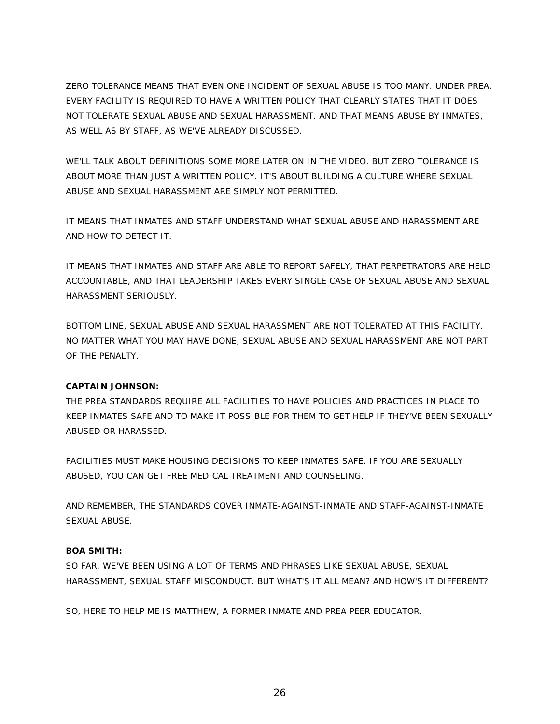ZERO TOLERANCE MEANS THAT EVEN ONE INCIDENT OF SEXUAL ABUSE IS TOO MANY. UNDER PREA, EVERY FACILITY IS REQUIRED TO HAVE A WRITTEN POLICY THAT CLEARLY STATES THAT IT DOES NOT TOLERATE SEXUAL ABUSE AND SEXUAL HARASSMENT. AND THAT MEANS ABUSE BY INMATES, AS WELL AS BY STAFF, AS WE'VE ALREADY DISCUSSED.

WE'LL TALK ABOUT DEFINITIONS SOME MORE LATER ON IN THE VIDEO. BUT ZERO TOLERANCE IS ABOUT MORE THAN JUST A WRITTEN POLICY. IT'S ABOUT BUILDING A CULTURE WHERE SEXUAL ABUSE AND SEXUAL HARASSMENT ARE SIMPLY NOT PERMITTED.

IT MEANS THAT INMATES AND STAFF UNDERSTAND WHAT SEXUAL ABUSE AND HARASSMENT ARE AND HOW TO DETECT IT.

IT MEANS THAT INMATES AND STAFF ARE ABLE TO REPORT SAFELY, THAT PERPETRATORS ARE HELD ACCOUNTABLE, AND THAT LEADERSHIP TAKES EVERY SINGLE CASE OF SEXUAL ABUSE AND SEXUAL HARASSMENT SERIOUSLY.

BOTTOM LINE, SEXUAL ABUSE AND SEXUAL HARASSMENT ARE NOT TOLERATED AT THIS FACILITY. NO MATTER WHAT YOU MAY HAVE DONE, SEXUAL ABUSE AND SEXUAL HARASSMENT ARE NOT PART OF THE PENALTY.

#### **CAPTAIN JOHNSON:**

THE PREA STANDARDS REQUIRE ALL FACILITIES TO HAVE POLICIES AND PRACTICES IN PLACE TO KEEP INMATES SAFE AND TO MAKE IT POSSIBLE FOR THEM TO GET HELP IF THEY'VE BEEN SEXUALLY ABUSED OR HARASSED.

FACILITIES MUST MAKE HOUSING DECISIONS TO KEEP INMATES SAFE. IF YOU ARE SEXUALLY ABUSED, YOU CAN GET FREE MEDICAL TREATMENT AND COUNSELING.

AND REMEMBER, THE STANDARDS COVER INMATE-AGAINST-INMATE AND STAFF-AGAINST-INMATE SEXUAL ABUSE.

#### **BOA SMITH:**

SO FAR, WE'VE BEEN USING A LOT OF TERMS AND PHRASES LIKE SEXUAL ABUSE, SEXUAL HARASSMENT, SEXUAL STAFF MISCONDUCT. BUT WHAT'S IT ALL MEAN? AND HOW'S IT DIFFERENT?

SO, HERE TO HELP ME IS MATTHEW, A FORMER INMATE AND PREA PEER EDUCATOR.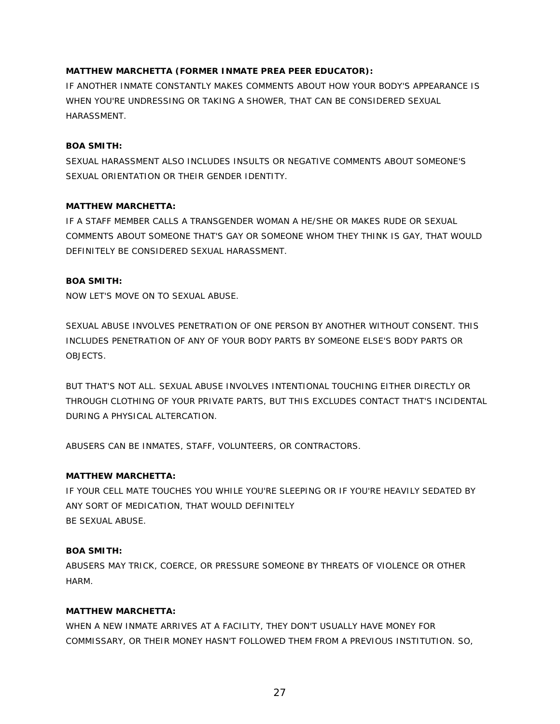#### **MATTHEW MARCHETTA (FORMER INMATE PREA PEER EDUCATOR):**

IF ANOTHER INMATE CONSTANTLY MAKES COMMENTS ABOUT HOW YOUR BODY'S APPEARANCE IS WHEN YOU'RE UNDRESSING OR TAKING A SHOWER, THAT CAN BE CONSIDERED SEXUAL HARASSMENT.

#### **BOA SMITH:**

SEXUAL HARASSMENT ALSO INCLUDES INSULTS OR NEGATIVE COMMENTS ABOUT SOMEONE'S SEXUAL ORIENTATION OR THEIR GENDER IDENTITY.

#### **MATTHEW MARCHETTA:**

IF A STAFF MEMBER CALLS A TRANSGENDER WOMAN A HE/SHE OR MAKES RUDE OR SEXUAL COMMENTS ABOUT SOMEONE THAT'S GAY OR SOMEONE WHOM THEY THINK IS GAY, THAT WOULD DEFINITELY BE CONSIDERED SEXUAL HARASSMENT.

#### **BOA SMITH:**

NOW LET'S MOVE ON TO SEXUAL ABUSE.

SEXUAL ABUSE INVOLVES PENETRATION OF ONE PERSON BY ANOTHER WITHOUT CONSENT. THIS INCLUDES PENETRATION OF ANY OF YOUR BODY PARTS BY SOMEONE ELSE'S BODY PARTS OR OBJECTS.

BUT THAT'S NOT ALL. SEXUAL ABUSE INVOLVES INTENTIONAL TOUCHING EITHER DIRECTLY OR THROUGH CLOTHING OF YOUR PRIVATE PARTS, BUT THIS EXCLUDES CONTACT THAT'S INCIDENTAL DURING A PHYSICAL ALTERCATION.

ABUSERS CAN BE INMATES, STAFF, VOLUNTEERS, OR CONTRACTORS.

#### **MATTHEW MARCHETTA:**

IF YOUR CELL MATE TOUCHES YOU WHILE YOU'RE SLEEPING OR IF YOU'RE HEAVILY SEDATED BY ANY SORT OF MEDICATION, THAT WOULD DEFINITELY BE SEXUAL ABUSE.

#### **BOA SMITH:**

ABUSERS MAY TRICK, COERCE, OR PRESSURE SOMEONE BY THREATS OF VIOLENCE OR OTHER HARM.

#### **MATTHEW MARCHETTA:**

WHEN A NEW INMATE ARRIVES AT A FACILITY, THEY DON'T USUALLY HAVE MONEY FOR COMMISSARY, OR THEIR MONEY HASN'T FOLLOWED THEM FROM A PREVIOUS INSTITUTION. SO,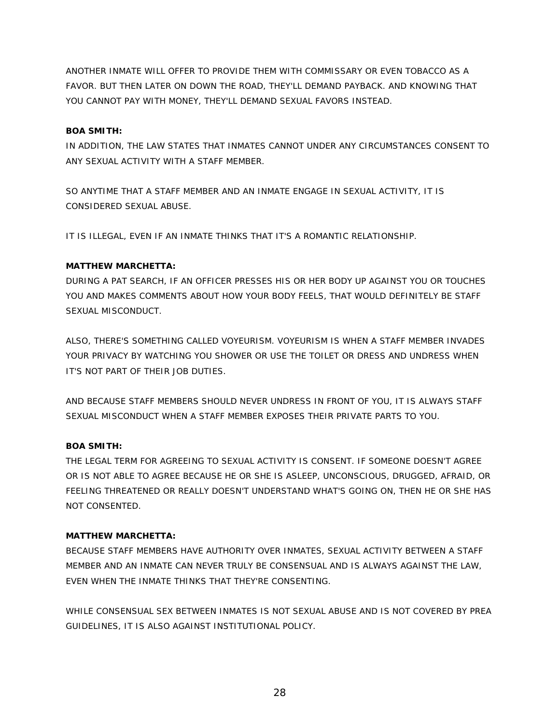ANOTHER INMATE WILL OFFER TO PROVIDE THEM WITH COMMISSARY OR EVEN TOBACCO AS A FAVOR. BUT THEN LATER ON DOWN THE ROAD, THEY'LL DEMAND PAYBACK. AND KNOWING THAT YOU CANNOT PAY WITH MONEY, THEY'LL DEMAND SEXUAL FAVORS INSTEAD.

#### **BOA SMITH:**

IN ADDITION, THE LAW STATES THAT INMATES CANNOT UNDER ANY CIRCUMSTANCES CONSENT TO ANY SEXUAL ACTIVITY WITH A STAFF MEMBER.

SO ANYTIME THAT A STAFF MEMBER AND AN INMATE ENGAGE IN SEXUAL ACTIVITY, IT IS CONSIDERED SEXUAL ABUSE.

IT IS ILLEGAL, EVEN IF AN INMATE THINKS THAT IT'S A ROMANTIC RELATIONSHIP.

#### **MATTHEW MARCHETTA:**

DURING A PAT SEARCH, IF AN OFFICER PRESSES HIS OR HER BODY UP AGAINST YOU OR TOUCHES YOU AND MAKES COMMENTS ABOUT HOW YOUR BODY FEELS, THAT WOULD DEFINITELY BE STAFF SEXUAL MISCONDUCT.

ALSO, THERE'S SOMETHING CALLED VOYEURISM. VOYEURISM IS WHEN A STAFF MEMBER INVADES YOUR PRIVACY BY WATCHING YOU SHOWER OR USE THE TOILET OR DRESS AND UNDRESS WHEN IT'S NOT PART OF THEIR JOB DUTIES.

AND BECAUSE STAFF MEMBERS SHOULD NEVER UNDRESS IN FRONT OF YOU, IT IS ALWAYS STAFF SEXUAL MISCONDUCT WHEN A STAFF MEMBER EXPOSES THEIR PRIVATE PARTS TO YOU.

#### **BOA SMITH:**

THE LEGAL TERM FOR AGREEING TO SEXUAL ACTIVITY IS CONSENT. IF SOMEONE DOESN'T AGREE OR IS NOT ABLE TO AGREE BECAUSE HE OR SHE IS ASLEEP, UNCONSCIOUS, DRUGGED, AFRAID, OR FEELING THREATENED OR REALLY DOESN'T UNDERSTAND WHAT'S GOING ON, THEN HE OR SHE HAS NOT CONSENTED.

#### **MATTHEW MARCHETTA:**

BECAUSE STAFF MEMBERS HAVE AUTHORITY OVER INMATES, SEXUAL ACTIVITY BETWEEN A STAFF MEMBER AND AN INMATE CAN NEVER TRULY BE CONSENSUAL AND IS ALWAYS AGAINST THE LAW, EVEN WHEN THE INMATE THINKS THAT THEY'RE CONSENTING.

WHILE CONSENSUAL SEX BETWEEN INMATES IS NOT SEXUAL ABUSE AND IS NOT COVERED BY PREA GUIDELINES, IT IS ALSO AGAINST INSTITUTIONAL POLICY.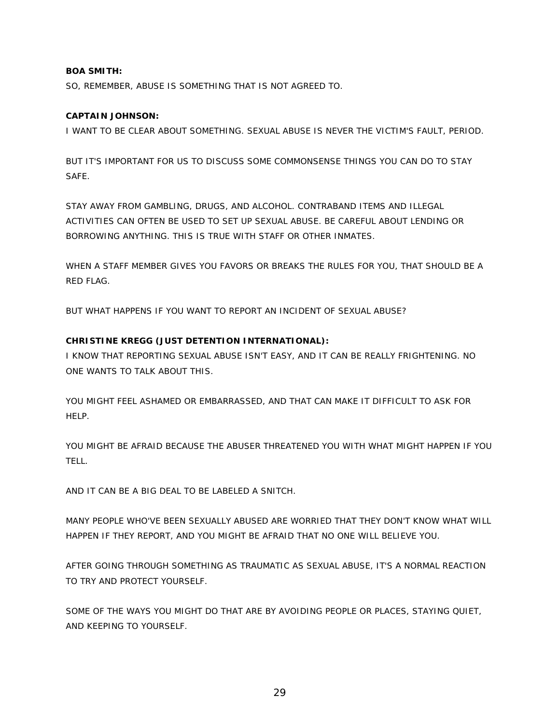#### **BOA SMITH:**

SO, REMEMBER, ABUSE IS SOMETHING THAT IS NOT AGREED TO.

#### **CAPTAIN JOHNSON:**

I WANT TO BE CLEAR ABOUT SOMETHING. SEXUAL ABUSE IS NEVER THE VICTIM'S FAULT, PERIOD.

BUT IT'S IMPORTANT FOR US TO DISCUSS SOME COMMONSENSE THINGS YOU CAN DO TO STAY SAFE.

STAY AWAY FROM GAMBLING, DRUGS, AND ALCOHOL. CONTRABAND ITEMS AND ILLEGAL ACTIVITIES CAN OFTEN BE USED TO SET UP SEXUAL ABUSE. BE CAREFUL ABOUT LENDING OR BORROWING ANYTHING. THIS IS TRUE WITH STAFF OR OTHER INMATES.

WHEN A STAFF MEMBER GIVES YOU FAVORS OR BREAKS THE RULES FOR YOU, THAT SHOULD BE A RED FLAG.

BUT WHAT HAPPENS IF YOU WANT TO REPORT AN INCIDENT OF SEXUAL ABUSE?

#### **CHRISTINE KREGG (JUST DETENTION INTERNATIONAL):**

I KNOW THAT REPORTING SEXUAL ABUSE ISN'T EASY, AND IT CAN BE REALLY FRIGHTENING. NO ONE WANTS TO TALK ABOUT THIS.

YOU MIGHT FEEL ASHAMED OR EMBARRASSED, AND THAT CAN MAKE IT DIFFICULT TO ASK FOR HELP.

YOU MIGHT BE AFRAID BECAUSE THE ABUSER THREATENED YOU WITH WHAT MIGHT HAPPEN IF YOU TELL.

AND IT CAN BE A BIG DEAL TO BE LABELED A SNITCH.

MANY PEOPLE WHO'VE BEEN SEXUALLY ABUSED ARE WORRIED THAT THEY DON'T KNOW WHAT WILL HAPPEN IF THEY REPORT, AND YOU MIGHT BE AFRAID THAT NO ONE WILL BELIEVE YOU.

AFTER GOING THROUGH SOMETHING AS TRAUMATIC AS SEXUAL ABUSE, IT'S A NORMAL REACTION TO TRY AND PROTECT YOURSELF.

SOME OF THE WAYS YOU MIGHT DO THAT ARE BY AVOIDING PEOPLE OR PLACES, STAYING QUIET, AND KEEPING TO YOURSELF.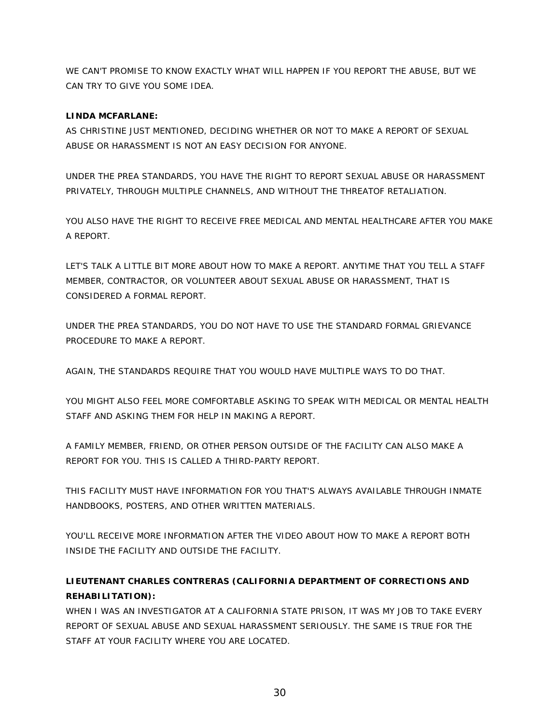WE CAN'T PROMISE TO KNOW EXACTLY WHAT WILL HAPPEN IF YOU REPORT THE ABUSE, BUT WE CAN TRY TO GIVE YOU SOME IDEA.

#### **LINDA MCFARLANE:**

AS CHRISTINE JUST MENTIONED, DECIDING WHETHER OR NOT TO MAKE A REPORT OF SEXUAL ABUSE OR HARASSMENT IS NOT AN EASY DECISION FOR ANYONE.

UNDER THE PREA STANDARDS, YOU HAVE THE RIGHT TO REPORT SEXUAL ABUSE OR HARASSMENT PRIVATELY, THROUGH MULTIPLE CHANNELS, AND WITHOUT THE THREATOF RETALIATION.

YOU ALSO HAVE THE RIGHT TO RECEIVE FREE MEDICAL AND MENTAL HEALTHCARE AFTER YOU MAKE A REPORT.

LET'S TALK A LITTLE BIT MORE ABOUT HOW TO MAKE A REPORT. ANYTIME THAT YOU TELL A STAFF MEMBER, CONTRACTOR, OR VOLUNTEER ABOUT SEXUAL ABUSE OR HARASSMENT, THAT IS CONSIDERED A FORMAL REPORT.

UNDER THE PREA STANDARDS, YOU DO NOT HAVE TO USE THE STANDARD FORMAL GRIEVANCE PROCEDURE TO MAKE A REPORT.

AGAIN, THE STANDARDS REQUIRE THAT YOU WOULD HAVE MULTIPLE WAYS TO DO THAT.

YOU MIGHT ALSO FEEL MORE COMFORTABLE ASKING TO SPEAK WITH MEDICAL OR MENTAL HEALTH STAFF AND ASKING THEM FOR HELP IN MAKING A REPORT.

A FAMILY MEMBER, FRIEND, OR OTHER PERSON OUTSIDE OF THE FACILITY CAN ALSO MAKE A REPORT FOR YOU. THIS IS CALLED A THIRD-PARTY REPORT.

THIS FACILITY MUST HAVE INFORMATION FOR YOU THAT'S ALWAYS AVAILABLE THROUGH INMATE HANDBOOKS, POSTERS, AND OTHER WRITTEN MATERIALS.

YOU'LL RECEIVE MORE INFORMATION AFTER THE VIDEO ABOUT HOW TO MAKE A REPORT BOTH INSIDE THE FACILITY AND OUTSIDE THE FACILITY.

# **LIEUTENANT CHARLES CONTRERAS (CALIFORNIA DEPARTMENT OF CORRECTIONS AND REHABILITATION):**

WHEN I WAS AN INVESTIGATOR AT A CALIFORNIA STATE PRISON, IT WAS MY JOB TO TAKE EVERY REPORT OF SEXUAL ABUSE AND SEXUAL HARASSMENT SERIOUSLY. THE SAME IS TRUE FOR THE STAFF AT YOUR FACILITY WHERE YOU ARE LOCATED.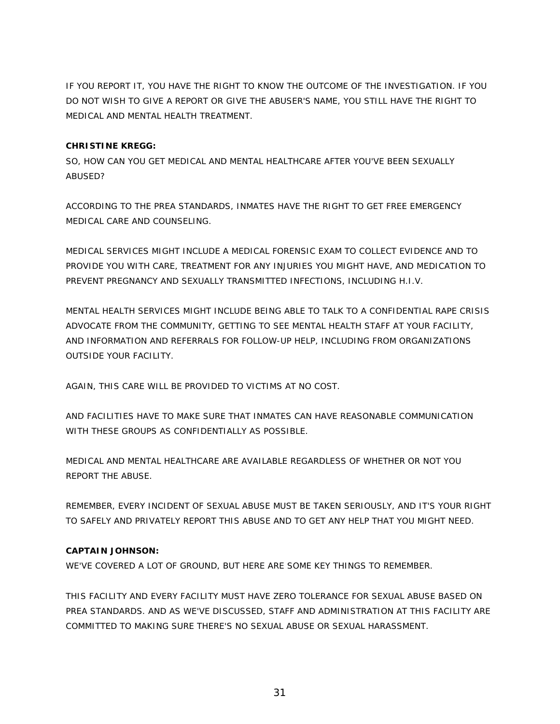IF YOU REPORT IT, YOU HAVE THE RIGHT TO KNOW THE OUTCOME OF THE INVESTIGATION. IF YOU DO NOT WISH TO GIVE A REPORT OR GIVE THE ABUSER'S NAME, YOU STILL HAVE THE RIGHT TO MEDICAL AND MENTAL HEALTH TREATMENT.

#### **CHRISTINE KREGG:**

SO, HOW CAN YOU GET MEDICAL AND MENTAL HEALTHCARE AFTER YOU'VE BEEN SEXUALLY ABUSED?

ACCORDING TO THE PREA STANDARDS, INMATES HAVE THE RIGHT TO GET FREE EMERGENCY MEDICAL CARE AND COUNSELING.

MEDICAL SERVICES MIGHT INCLUDE A MEDICAL FORENSIC EXAM TO COLLECT EVIDENCE AND TO PROVIDE YOU WITH CARE, TREATMENT FOR ANY INJURIES YOU MIGHT HAVE, AND MEDICATION TO PREVENT PREGNANCY AND SEXUALLY TRANSMITTED INFECTIONS, INCLUDING H.I.V.

MENTAL HEALTH SERVICES MIGHT INCLUDE BEING ABLE TO TALK TO A CONFIDENTIAL RAPE CRISIS ADVOCATE FROM THE COMMUNITY, GETTING TO SEE MENTAL HEALTH STAFF AT YOUR FACILITY, AND INFORMATION AND REFERRALS FOR FOLLOW-UP HELP, INCLUDING FROM ORGANIZATIONS OUTSIDE YOUR FACILITY.

AGAIN, THIS CARE WILL BE PROVIDED TO VICTIMS AT NO COST.

AND FACILITIES HAVE TO MAKE SURE THAT INMATES CAN HAVE REASONABLE COMMUNICATION WITH THESE GROUPS AS CONFIDENTIALLY AS POSSIBLE.

MEDICAL AND MENTAL HEALTHCARE ARE AVAILABLE REGARDLESS OF WHETHER OR NOT YOU REPORT THE ABUSE.

REMEMBER, EVERY INCIDENT OF SEXUAL ABUSE MUST BE TAKEN SERIOUSLY, AND IT'S YOUR RIGHT TO SAFELY AND PRIVATELY REPORT THIS ABUSE AND TO GET ANY HELP THAT YOU MIGHT NEED.

#### **CAPTAIN JOHNSON:**

WE'VE COVERED A LOT OF GROUND, BUT HERE ARE SOME KEY THINGS TO REMEMBER.

THIS FACILITY AND EVERY FACILITY MUST HAVE ZERO TOLERANCE FOR SEXUAL ABUSE BASED ON PREA STANDARDS. AND AS WE'VE DISCUSSED, STAFF AND ADMINISTRATION AT THIS FACILITY ARE COMMITTED TO MAKING SURE THERE'S NO SEXUAL ABUSE OR SEXUAL HARASSMENT.